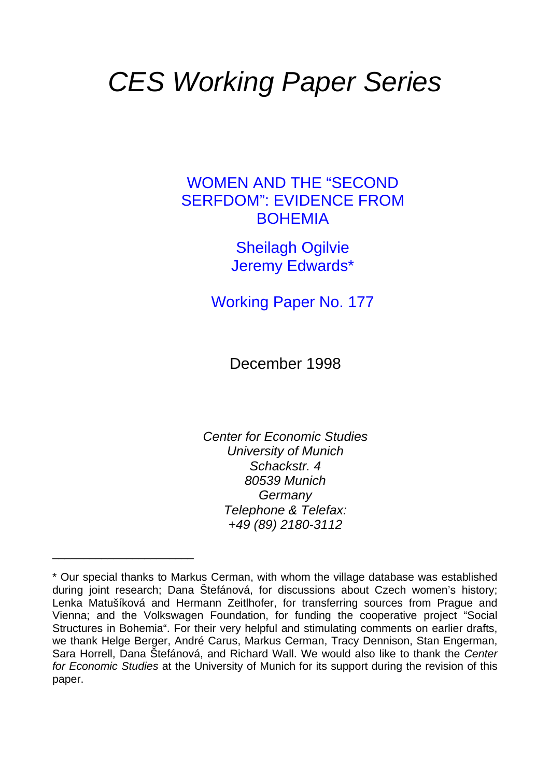# *CES Working Paper Series*

## WOMEN AND THE "SECOND SERFDOM": EVIDENCE FROM BOHEMIA

Sheilagh Ogilvie Jeremy Edwards\*

Working Paper No. 177

December 1998

*Center for Economic Studies University of Munich Schackstr. 4 80539 Munich Germany Telephone & Telefax: +49 (89) 2180-3112* 

\_\_\_\_\_\_\_\_\_\_\_\_\_\_\_\_\_\_\_\_\_\_\_

<sup>\*</sup> Our special thanks to Markus Cerman, with whom the village database was established during joint research; Dana Štefánová, for discussions about Czech women's history; Lenka Matušíková and Hermann Zeitlhofer, for transferring sources from Prague and Vienna; and the Volkswagen Foundation, for funding the cooperative project "Social Structures in Bohemia". For their very helpful and stimulating comments on earlier drafts, we thank Helge Berger, André Carus, Markus Cerman, Tracy Dennison, Stan Engerman, Sara Horrell, Dana Štefánová, and Richard Wall. We would also like to thank the *Center for Economic Studies* at the University of Munich for its support during the revision of this paper.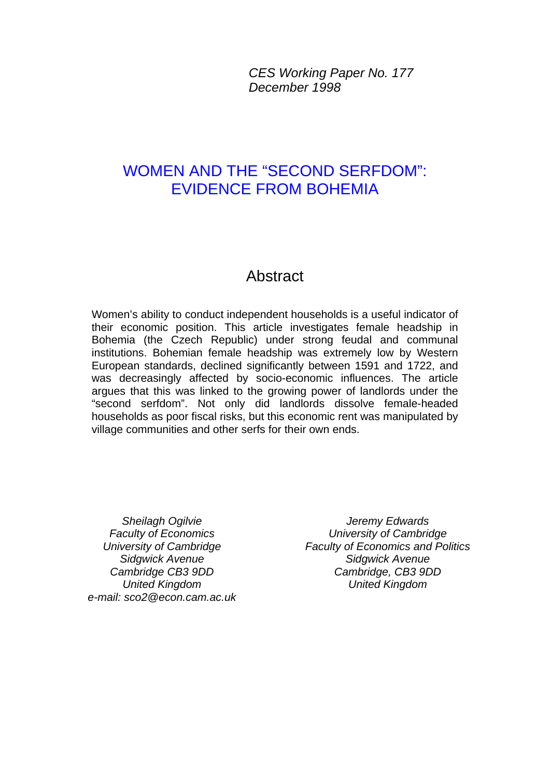*CES Working Paper No. 177 December 1998*

# WOMEN AND THE "SECOND SERFDOM": EVIDENCE FROM BOHEMIA

## Abstract

Women's ability to conduct independent households is a useful indicator of their economic position. This article investigates female headship in Bohemia (the Czech Republic) under strong feudal and communal institutions. Bohemian female headship was extremely low by Western European standards, declined significantly between 1591 and 1722, and was decreasingly affected by socio-economic influences. The article argues that this was linked to the growing power of landlords under the "second serfdom". Not only did landlords dissolve female-headed households as poor fiscal risks, but this economic rent was manipulated by village communities and other serfs for their own ends.

*Sheilagh Ogilvie Faculty of Economics University of Cambridge Sidgwick Avenue Cambridge CB3 9DD United Kingdom e-mail: sco2@econ.cam.ac.uk*

*Jeremy Edwards University of Cambridge Faculty of Economics and Politics Sidgwick Avenue Cambridge, CB3 9DD United Kingdom*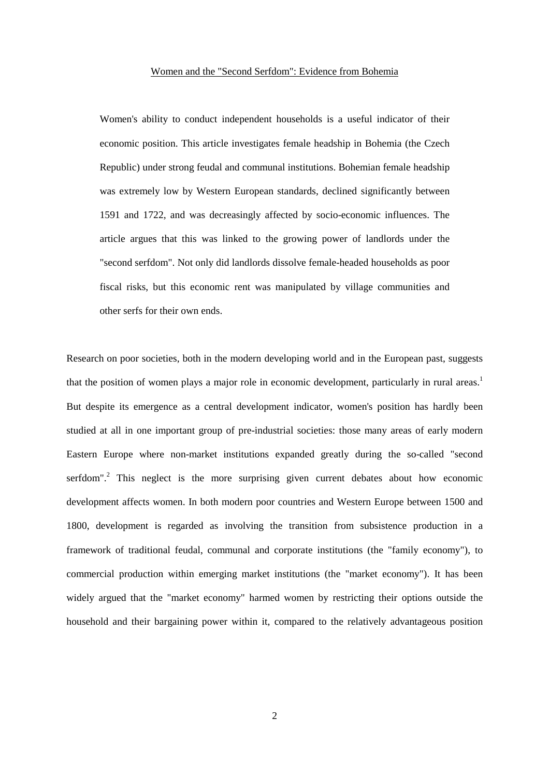#### Women and the "Second Serfdom": Evidence from Bohemia

Women's ability to conduct independent households is a useful indicator of their economic position. This article investigates female headship in Bohemia (the Czech Republic) under strong feudal and communal institutions. Bohemian female headship was extremely low by Western European standards, declined significantly between 1591 and 1722, and was decreasingly affected by socio-economic influences. The article argues that this was linked to the growing power of landlords under the "second serfdom". Not only did landlords dissolve female-headed households as poor fiscal risks, but this economic rent was manipulated by village communities and other serfs for their own ends.

Research on poor societies, both in the modern developing world and in the European past, suggests that the position of women plays a major role in economic development, particularly in rural areas.<sup>1</sup> But despite its emergence as a central development indicator, women's position has hardly been studied at all in one important group of pre-industrial societies: those many areas of early modern Eastern Europe where non-market institutions expanded greatly during the so-called "second serfdom".<sup>2</sup> This neglect is the more surprising given current debates about how economic development affects women. In both modern poor countries and Western Europe between 1500 and 1800, development is regarded as involving the transition from subsistence production in a framework of traditional feudal, communal and corporate institutions (the "family economy"), to commercial production within emerging market institutions (the "market economy"). It has been widely argued that the "market economy" harmed women by restricting their options outside the household and their bargaining power within it, compared to the relatively advantageous position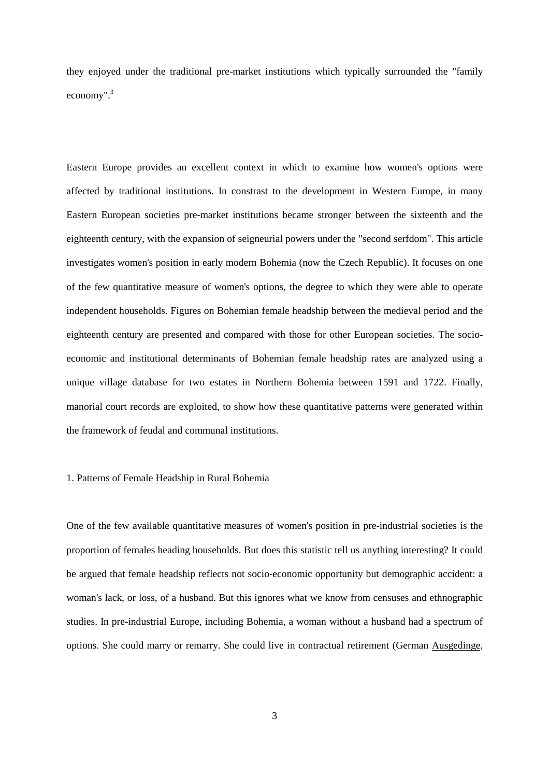they enjoyed under the traditional pre-market institutions which typically surrounded the "family economy".<sup>3</sup>

Eastern Europe provides an excellent context in which to examine how women's options were affected by traditional institutions. In constrast to the development in Western Europe, in many Eastern European societies pre-market institutions became stronger between the sixteenth and the eighteenth century, with the expansion of seigneurial powers under the "second serfdom". This article investigates women's position in early modern Bohemia (now the Czech Republic). It focuses on one of the few quantitative measure of women's options, the degree to which they were able to operate independent households. Figures on Bohemian female headship between the medieval period and the eighteenth century are presented and compared with those for other European societies. The socioeconomic and institutional determinants of Bohemian female headship rates are analyzed using a unique village database for two estates in Northern Bohemia between 1591 and 1722. Finally, manorial court records are exploited, to show how these quantitative patterns were generated within the framework of feudal and communal institutions.

#### 1. Patterns of Female Headship in Rural Bohemia

One of the few available quantitative measures of women's position in pre-industrial societies is the proportion of females heading households. But does this statistic tell us anything interesting? It could be argued that female headship reflects not socio-economic opportunity but demographic accident: a woman's lack, or loss, of a husband. But this ignores what we know from censuses and ethnographic studies. In pre-industrial Europe, including Bohemia, a woman without a husband had a spectrum of options. She could marry or remarry. She could live in contractual retirement (German Ausgedinge,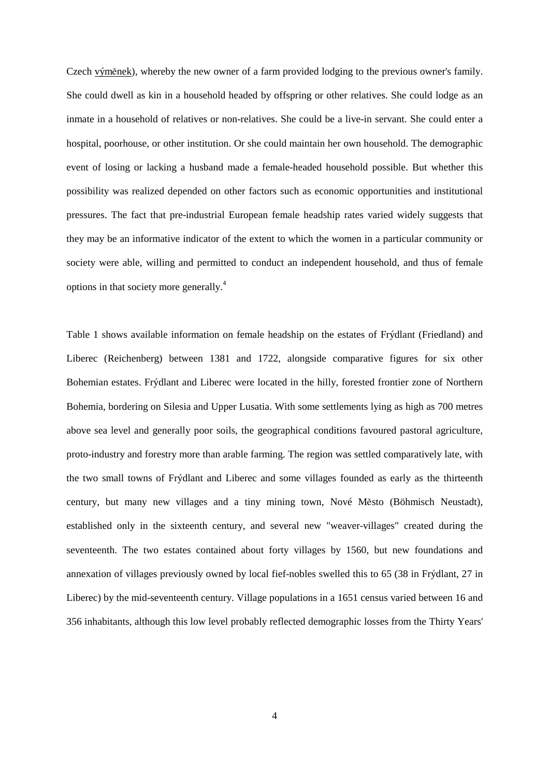Czech výměnek), whereby the new owner of a farm provided lodging to the previous owner's family. She could dwell as kin in a household headed by offspring or other relatives. She could lodge as an inmate in a household of relatives or non-relatives. She could be a live-in servant. She could enter a hospital, poorhouse, or other institution. Or she could maintain her own household. The demographic event of losing or lacking a husband made a female-headed household possible. But whether this possibility was realized depended on other factors such as economic opportunities and institutional pressures. The fact that pre-industrial European female headship rates varied widely suggests that they may be an informative indicator of the extent to which the women in a particular community or society were able, willing and permitted to conduct an independent household, and thus of female options in that society more generally.<sup>4</sup>

Table 1 shows available information on female headship on the estates of Frýdlant (Friedland) and Liberec (Reichenberg) between 1381 and 1722, alongside comparative figures for six other Bohemian estates. Frýdlant and Liberec were located in the hilly, forested frontier zone of Northern Bohemia, bordering on Silesia and Upper Lusatia. With some settlements lying as high as 700 metres above sea level and generally poor soils, the geographical conditions favoured pastoral agriculture, proto-industry and forestry more than arable farming. The region was settled comparatively late, with the two small towns of Frýdlant and Liberec and some villages founded as early as the thirteenth century, but many new villages and a tiny mining town, Nové Město (Böhmisch Neustadt), established only in the sixteenth century, and several new "weaver-villages" created during the seventeenth. The two estates contained about forty villages by 1560, but new foundations and annexation of villages previously owned by local fief-nobles swelled this to 65 (38 in Frýdlant, 27 in Liberec) by the mid-seventeenth century. Village populations in a 1651 census varied between 16 and 356 inhabitants, although this low level probably reflected demographic losses from the Thirty Years'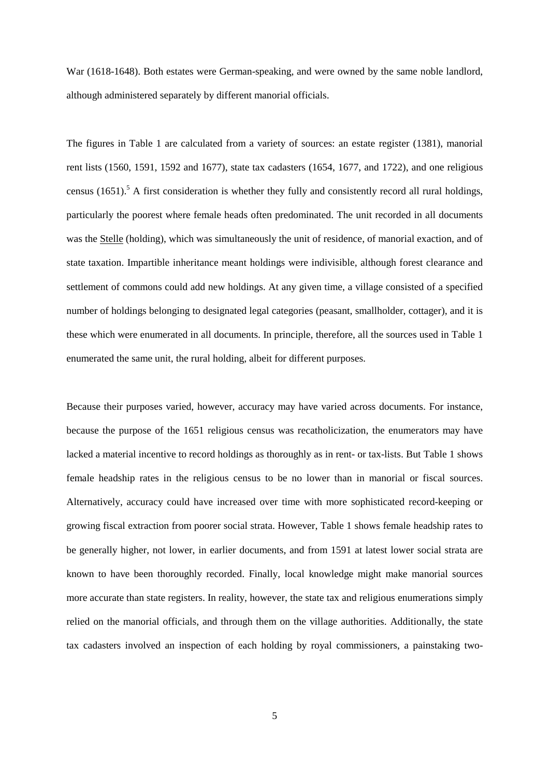War (1618-1648). Both estates were German-speaking, and were owned by the same noble landlord, although administered separately by different manorial officials.

The figures in Table 1 are calculated from a variety of sources: an estate register (1381), manorial rent lists (1560, 1591, 1592 and 1677), state tax cadasters (1654, 1677, and 1722), and one religious census  $(1651)$ .<sup>5</sup> A first consideration is whether they fully and consistently record all rural holdings, particularly the poorest where female heads often predominated. The unit recorded in all documents was the Stelle (holding), which was simultaneously the unit of residence, of manorial exaction, and of state taxation. Impartible inheritance meant holdings were indivisible, although forest clearance and settlement of commons could add new holdings. At any given time, a village consisted of a specified number of holdings belonging to designated legal categories (peasant, smallholder, cottager), and it is these which were enumerated in all documents. In principle, therefore, all the sources used in Table 1 enumerated the same unit, the rural holding, albeit for different purposes.

Because their purposes varied, however, accuracy may have varied across documents. For instance, because the purpose of the 1651 religious census was recatholicization, the enumerators may have lacked a material incentive to record holdings as thoroughly as in rent- or tax-lists. But Table 1 shows female headship rates in the religious census to be no lower than in manorial or fiscal sources. Alternatively, accuracy could have increased over time with more sophisticated record-keeping or growing fiscal extraction from poorer social strata. However, Table 1 shows female headship rates to be generally higher, not lower, in earlier documents, and from 1591 at latest lower social strata are known to have been thoroughly recorded. Finally, local knowledge might make manorial sources more accurate than state registers. In reality, however, the state tax and religious enumerations simply relied on the manorial officials, and through them on the village authorities. Additionally, the state tax cadasters involved an inspection of each holding by royal commissioners, a painstaking two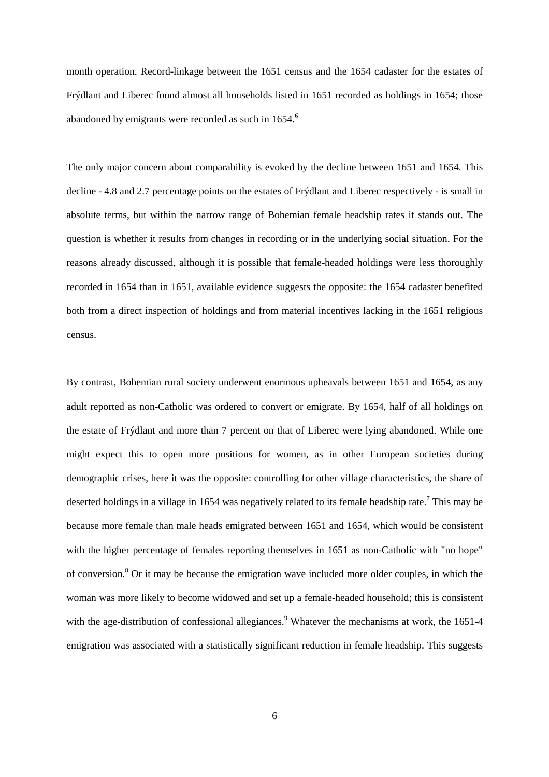month operation. Record-linkage between the 1651 census and the 1654 cadaster for the estates of Frýdlant and Liberec found almost all households listed in 1651 recorded as holdings in 1654; those abandoned by emigrants were recorded as such in 1654.<sup>6</sup>

The only major concern about comparability is evoked by the decline between 1651 and 1654. This decline - 4.8 and 2.7 percentage points on the estates of Frýdlant and Liberec respectively - is small in absolute terms, but within the narrow range of Bohemian female headship rates it stands out. The question is whether it results from changes in recording or in the underlying social situation. For the reasons already discussed, although it is possible that female-headed holdings were less thoroughly recorded in 1654 than in 1651, available evidence suggests the opposite: the 1654 cadaster benefited both from a direct inspection of holdings and from material incentives lacking in the 1651 religious census.

By contrast, Bohemian rural society underwent enormous upheavals between 1651 and 1654, as any adult reported as non-Catholic was ordered to convert or emigrate. By 1654, half of all holdings on the estate of Frýdlant and more than 7 percent on that of Liberec were lying abandoned. While one might expect this to open more positions for women, as in other European societies during demographic crises, here it was the opposite: controlling for other village characteristics, the share of deserted holdings in a village in 1654 was negatively related to its female headship rate.<sup>7</sup> This may be because more female than male heads emigrated between 1651 and 1654, which would be consistent with the higher percentage of females reporting themselves in 1651 as non-Catholic with "no hope" of conversion.<sup>8</sup> Or it may be because the emigration wave included more older couples, in which the woman was more likely to become widowed and set up a female-headed household; this is consistent with the age-distribution of confessional allegiances.<sup>9</sup> Whatever the mechanisms at work, the 1651-4 emigration was associated with a statistically significant reduction in female headship. This suggests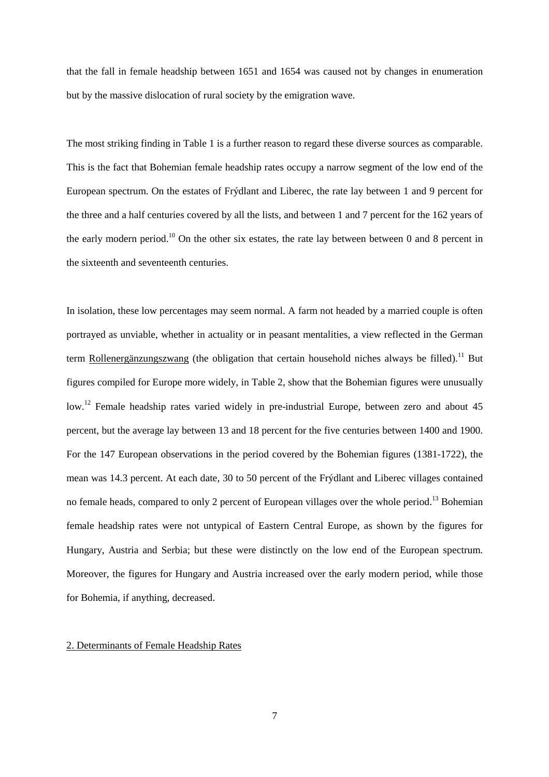that the fall in female headship between 1651 and 1654 was caused not by changes in enumeration but by the massive dislocation of rural society by the emigration wave.

The most striking finding in Table 1 is a further reason to regard these diverse sources as comparable. This is the fact that Bohemian female headship rates occupy a narrow segment of the low end of the European spectrum. On the estates of Frýdlant and Liberec, the rate lay between 1 and 9 percent for the three and a half centuries covered by all the lists, and between 1 and 7 percent for the 162 years of the early modern period.<sup>10</sup> On the other six estates, the rate lay between between 0 and 8 percent in the sixteenth and seventeenth centuries.

In isolation, these low percentages may seem normal. A farm not headed by a married couple is often portrayed as unviable, whether in actuality or in peasant mentalities, a view reflected in the German term Rollenergänzungszwang (the obligation that certain household niches always be filled).<sup>11</sup> But figures compiled for Europe more widely, in Table 2, show that the Bohemian figures were unusually low.<sup>12</sup> Female headship rates varied widely in pre-industrial Europe, between zero and about 45 percent, but the average lay between 13 and 18 percent for the five centuries between 1400 and 1900. For the 147 European observations in the period covered by the Bohemian figures (1381-1722), the mean was 14.3 percent. At each date, 30 to 50 percent of the Frýdlant and Liberec villages contained no female heads, compared to only 2 percent of European villages over the whole period.<sup>13</sup> Bohemian female headship rates were not untypical of Eastern Central Europe, as shown by the figures for Hungary, Austria and Serbia; but these were distinctly on the low end of the European spectrum. Moreover, the figures for Hungary and Austria increased over the early modern period, while those for Bohemia, if anything, decreased.

#### 2. Determinants of Female Headship Rates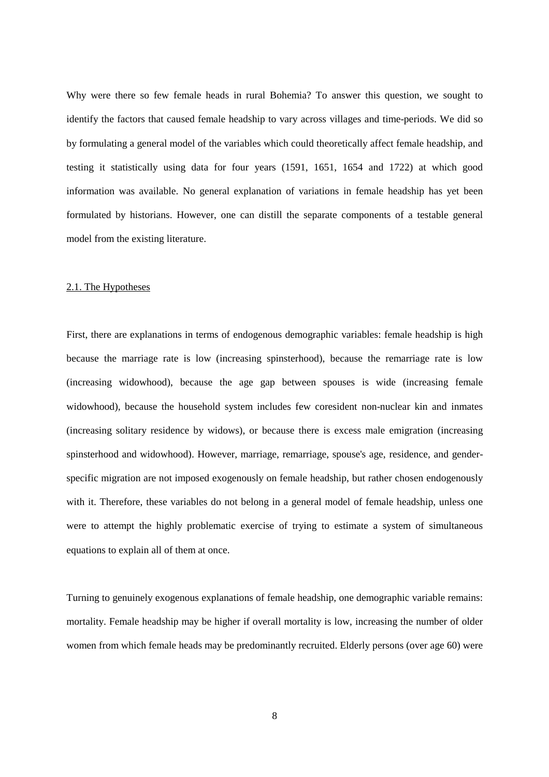Why were there so few female heads in rural Bohemia? To answer this question, we sought to identify the factors that caused female headship to vary across villages and time-periods. We did so by formulating a general model of the variables which could theoretically affect female headship, and testing it statistically using data for four years (1591, 1651, 1654 and 1722) at which good information was available. No general explanation of variations in female headship has yet been formulated by historians. However, one can distill the separate components of a testable general model from the existing literature.

#### 2.1. The Hypotheses

First, there are explanations in terms of endogenous demographic variables: female headship is high because the marriage rate is low (increasing spinsterhood), because the remarriage rate is low (increasing widowhood), because the age gap between spouses is wide (increasing female widowhood), because the household system includes few coresident non-nuclear kin and inmates (increasing solitary residence by widows), or because there is excess male emigration (increasing spinsterhood and widowhood). However, marriage, remarriage, spouse's age, residence, and genderspecific migration are not imposed exogenously on female headship, but rather chosen endogenously with it. Therefore, these variables do not belong in a general model of female headship, unless one were to attempt the highly problematic exercise of trying to estimate a system of simultaneous equations to explain all of them at once.

Turning to genuinely exogenous explanations of female headship, one demographic variable remains: mortality. Female headship may be higher if overall mortality is low, increasing the number of older women from which female heads may be predominantly recruited. Elderly persons (over age 60) were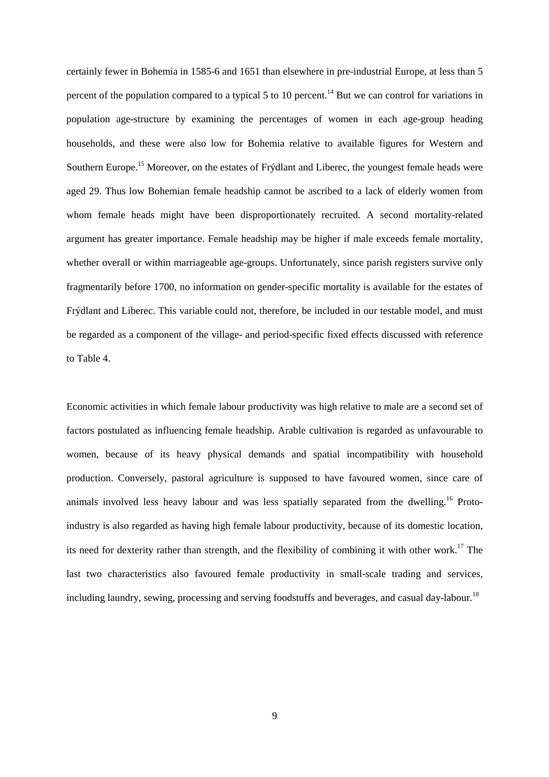certainly fewer in Bohemia in 1585-6 and 1651 than elsewhere in pre-industrial Europe, at less than 5 percent of the population compared to a typical 5 to 10 percent.<sup>14</sup> But we can control for variations in population age-structure by examining the percentages of women in each age-group heading households, and these were also low for Bohemia relative to available figures for Western and Southern Europe.<sup>15</sup> Moreover, on the estates of Frýdlant and Liberec, the youngest female heads were aged 29. Thus low Bohemian female headship cannot be ascribed to a lack of elderly women from whom female heads might have been disproportionately recruited. A second mortality-related argument has greater importance. Female headship may be higher if male exceeds female mortality, whether overall or within marriageable age-groups. Unfortunately, since parish registers survive only fragmentarily before 1700, no information on gender-specific mortality is available for the estates of Frýdlant and Liberec. This variable could not, therefore, be included in our testable model, and must be regarded as a component of the village- and period-specific fixed effects discussed with reference to Table 4.

Economic activities in which female labour productivity was high relative to male are a second set of factors postulated as influencing female headship. Arable cultivation is regarded as unfavourable to women, because of its heavy physical demands and spatial incompatibility with household production. Conversely, pastoral agriculture is supposed to have favoured women, since care of animals involved less heavy labour and was less spatially separated from the dwelling.<sup>16</sup> Protoindustry is also regarded as having high female labour productivity, because of its domestic location, its need for dexterity rather than strength, and the flexibility of combining it with other work.<sup>17</sup> The last two characteristics also favoured female productivity in small-scale trading and services, including laundry, sewing, processing and serving foodstuffs and beverages, and casual day-labour.<sup>18</sup>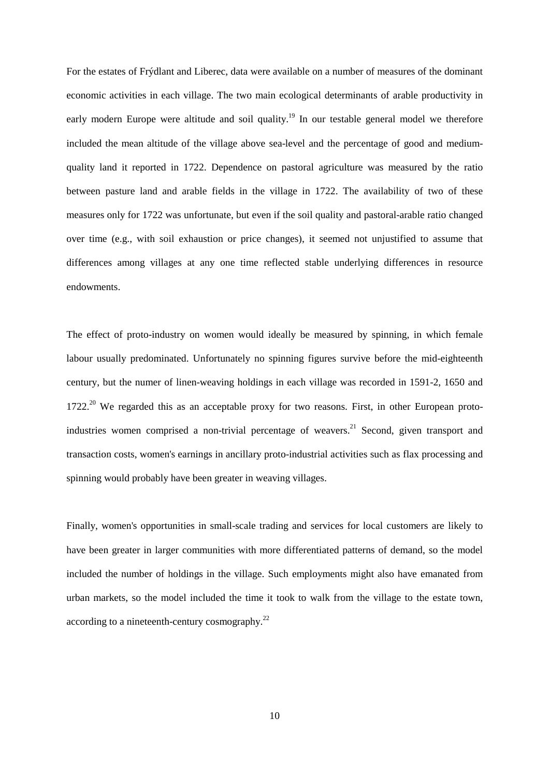For the estates of Frýdlant and Liberec, data were available on a number of measures of the dominant economic activities in each village. The two main ecological determinants of arable productivity in early modern Europe were altitude and soil quality.<sup>19</sup> In our testable general model we therefore included the mean altitude of the village above sea-level and the percentage of good and mediumquality land it reported in 1722. Dependence on pastoral agriculture was measured by the ratio between pasture land and arable fields in the village in 1722. The availability of two of these measures only for 1722 was unfortunate, but even if the soil quality and pastoral-arable ratio changed over time (e.g., with soil exhaustion or price changes), it seemed not unjustified to assume that differences among villages at any one time reflected stable underlying differences in resource endowments.

The effect of proto-industry on women would ideally be measured by spinning, in which female labour usually predominated. Unfortunately no spinning figures survive before the mid-eighteenth century, but the numer of linen-weaving holdings in each village was recorded in 1591-2, 1650 and  $1722<sup>20</sup>$  We regarded this as an acceptable proxy for two reasons. First, in other European protoindustries women comprised a non-trivial percentage of weavers.<sup>21</sup> Second, given transport and transaction costs, women's earnings in ancillary proto-industrial activities such as flax processing and spinning would probably have been greater in weaving villages.

Finally, women's opportunities in small-scale trading and services for local customers are likely to have been greater in larger communities with more differentiated patterns of demand, so the model included the number of holdings in the village. Such employments might also have emanated from urban markets, so the model included the time it took to walk from the village to the estate town, according to a nineteenth-century cosmography.<sup>22</sup>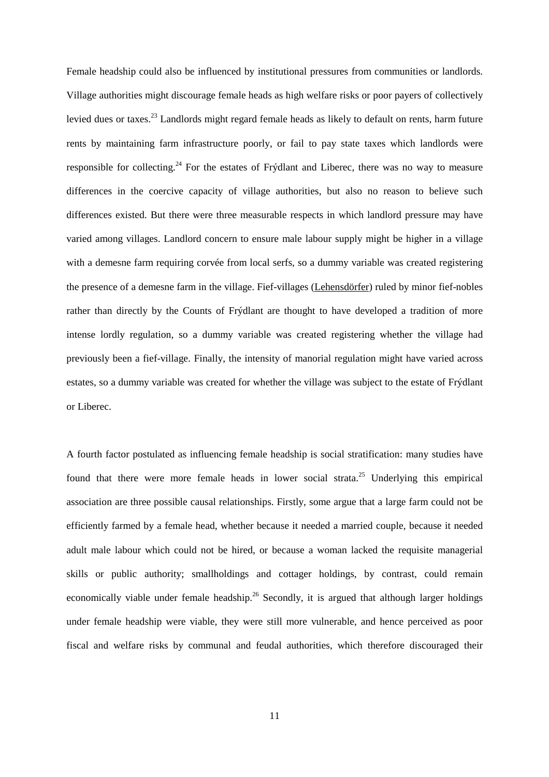Female headship could also be influenced by institutional pressures from communities or landlords. Village authorities might discourage female heads as high welfare risks or poor payers of collectively levied dues or taxes.<sup>23</sup> Landlords might regard female heads as likely to default on rents, harm future rents by maintaining farm infrastructure poorly, or fail to pay state taxes which landlords were responsible for collecting.<sup>24</sup> For the estates of Frýdlant and Liberec, there was no way to measure differences in the coercive capacity of village authorities, but also no reason to believe such differences existed. But there were three measurable respects in which landlord pressure may have varied among villages. Landlord concern to ensure male labour supply might be higher in a village with a demesne farm requiring corvée from local serfs, so a dummy variable was created registering the presence of a demesne farm in the village. Fief-villages (Lehensdörfer) ruled by minor fief-nobles rather than directly by the Counts of Frýdlant are thought to have developed a tradition of more intense lordly regulation, so a dummy variable was created registering whether the village had previously been a fief-village. Finally, the intensity of manorial regulation might have varied across estates, so a dummy variable was created for whether the village was subject to the estate of Frýdlant or Liberec.

A fourth factor postulated as influencing female headship is social stratification: many studies have found that there were more female heads in lower social strata.<sup>25</sup> Underlying this empirical association are three possible causal relationships. Firstly, some argue that a large farm could not be efficiently farmed by a female head, whether because it needed a married couple, because it needed adult male labour which could not be hired, or because a woman lacked the requisite managerial skills or public authority; smallholdings and cottager holdings, by contrast, could remain economically viable under female headship.<sup>26</sup> Secondly, it is argued that although larger holdings under female headship were viable, they were still more vulnerable, and hence perceived as poor fiscal and welfare risks by communal and feudal authorities, which therefore discouraged their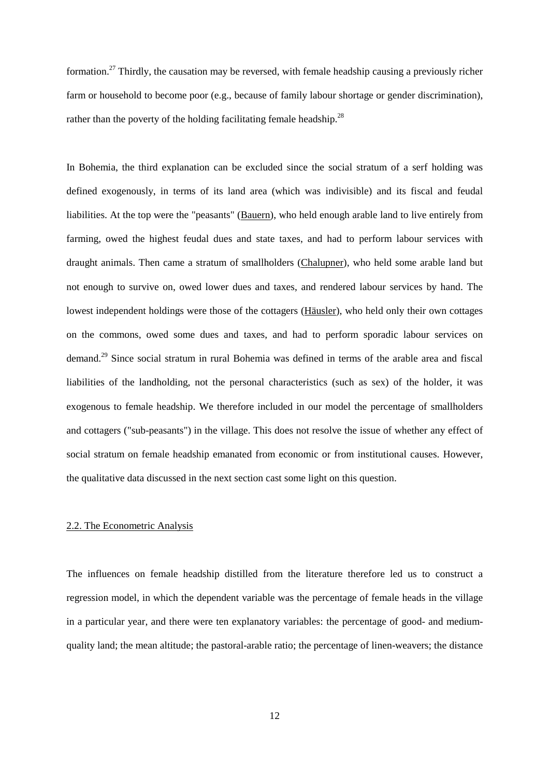formation.27 Thirdly, the causation may be reversed, with female headship causing a previously richer farm or household to become poor (e.g., because of family labour shortage or gender discrimination), rather than the poverty of the holding facilitating female headship.<sup>28</sup>

In Bohemia, the third explanation can be excluded since the social stratum of a serf holding was defined exogenously, in terms of its land area (which was indivisible) and its fiscal and feudal liabilities. At the top were the "peasants" (Bauern), who held enough arable land to live entirely from farming, owed the highest feudal dues and state taxes, and had to perform labour services with draught animals. Then came a stratum of smallholders (Chalupner), who held some arable land but not enough to survive on, owed lower dues and taxes, and rendered labour services by hand. The lowest independent holdings were those of the cottagers (Häusler), who held only their own cottages on the commons, owed some dues and taxes, and had to perform sporadic labour services on demand.29 Since social stratum in rural Bohemia was defined in terms of the arable area and fiscal liabilities of the landholding, not the personal characteristics (such as sex) of the holder, it was exogenous to female headship. We therefore included in our model the percentage of smallholders and cottagers ("sub-peasants") in the village. This does not resolve the issue of whether any effect of social stratum on female headship emanated from economic or from institutional causes. However, the qualitative data discussed in the next section cast some light on this question.

#### 2.2. The Econometric Analysis

The influences on female headship distilled from the literature therefore led us to construct a regression model, in which the dependent variable was the percentage of female heads in the village in a particular year, and there were ten explanatory variables: the percentage of good- and mediumquality land; the mean altitude; the pastoral-arable ratio; the percentage of linen-weavers; the distance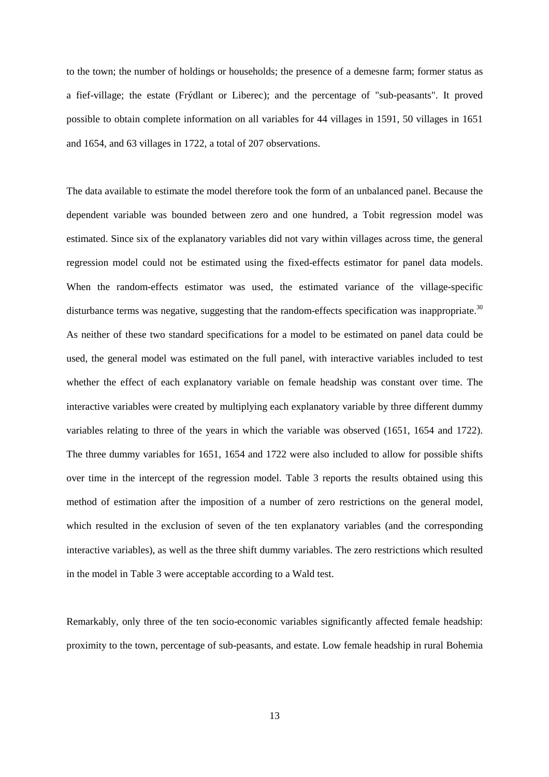to the town; the number of holdings or households; the presence of a demesne farm; former status as a fief-village; the estate (Frýdlant or Liberec); and the percentage of "sub-peasants". It proved possible to obtain complete information on all variables for 44 villages in 1591, 50 villages in 1651 and 1654, and 63 villages in 1722, a total of 207 observations.

The data available to estimate the model therefore took the form of an unbalanced panel. Because the dependent variable was bounded between zero and one hundred, a Tobit regression model was estimated. Since six of the explanatory variables did not vary within villages across time, the general regression model could not be estimated using the fixed-effects estimator for panel data models. When the random-effects estimator was used, the estimated variance of the village-specific disturbance terms was negative, suggesting that the random-effects specification was inappropriate.<sup>30</sup> As neither of these two standard specifications for a model to be estimated on panel data could be used, the general model was estimated on the full panel, with interactive variables included to test whether the effect of each explanatory variable on female headship was constant over time. The interactive variables were created by multiplying each explanatory variable by three different dummy variables relating to three of the years in which the variable was observed (1651, 1654 and 1722). The three dummy variables for 1651, 1654 and 1722 were also included to allow for possible shifts over time in the intercept of the regression model. Table 3 reports the results obtained using this method of estimation after the imposition of a number of zero restrictions on the general model, which resulted in the exclusion of seven of the ten explanatory variables (and the corresponding interactive variables), as well as the three shift dummy variables. The zero restrictions which resulted in the model in Table 3 were acceptable according to a Wald test.

Remarkably, only three of the ten socio-economic variables significantly affected female headship: proximity to the town, percentage of sub-peasants, and estate. Low female headship in rural Bohemia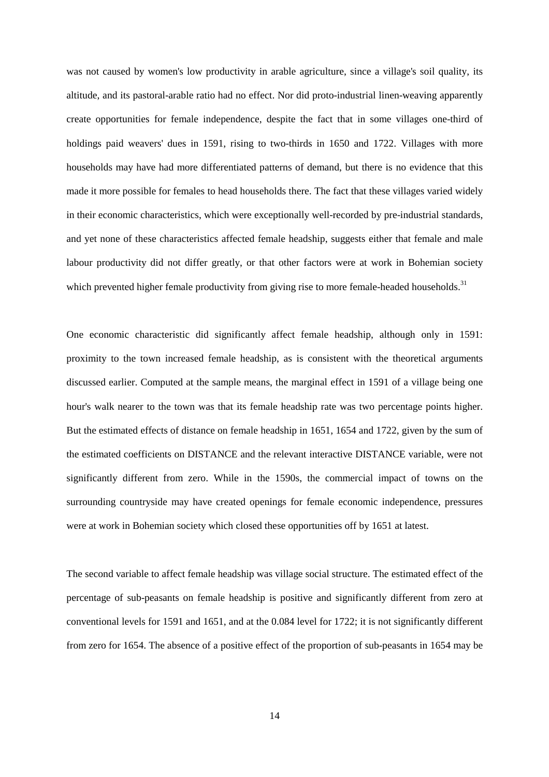was not caused by women's low productivity in arable agriculture, since a village's soil quality, its altitude, and its pastoral-arable ratio had no effect. Nor did proto-industrial linen-weaving apparently create opportunities for female independence, despite the fact that in some villages one-third of holdings paid weavers' dues in 1591, rising to two-thirds in 1650 and 1722. Villages with more households may have had more differentiated patterns of demand, but there is no evidence that this made it more possible for females to head households there. The fact that these villages varied widely in their economic characteristics, which were exceptionally well-recorded by pre-industrial standards, and yet none of these characteristics affected female headship, suggests either that female and male labour productivity did not differ greatly, or that other factors were at work in Bohemian society which prevented higher female productivity from giving rise to more female-headed households.<sup>31</sup>

One economic characteristic did significantly affect female headship, although only in 1591: proximity to the town increased female headship, as is consistent with the theoretical arguments discussed earlier. Computed at the sample means, the marginal effect in 1591 of a village being one hour's walk nearer to the town was that its female headship rate was two percentage points higher. But the estimated effects of distance on female headship in 1651, 1654 and 1722, given by the sum of the estimated coefficients on DISTANCE and the relevant interactive DISTANCE variable, were not significantly different from zero. While in the 1590s, the commercial impact of towns on the surrounding countryside may have created openings for female economic independence, pressures were at work in Bohemian society which closed these opportunities off by 1651 at latest.

The second variable to affect female headship was village social structure. The estimated effect of the percentage of sub-peasants on female headship is positive and significantly different from zero at conventional levels for 1591 and 1651, and at the 0.084 level for 1722; it is not significantly different from zero for 1654. The absence of a positive effect of the proportion of sub-peasants in 1654 may be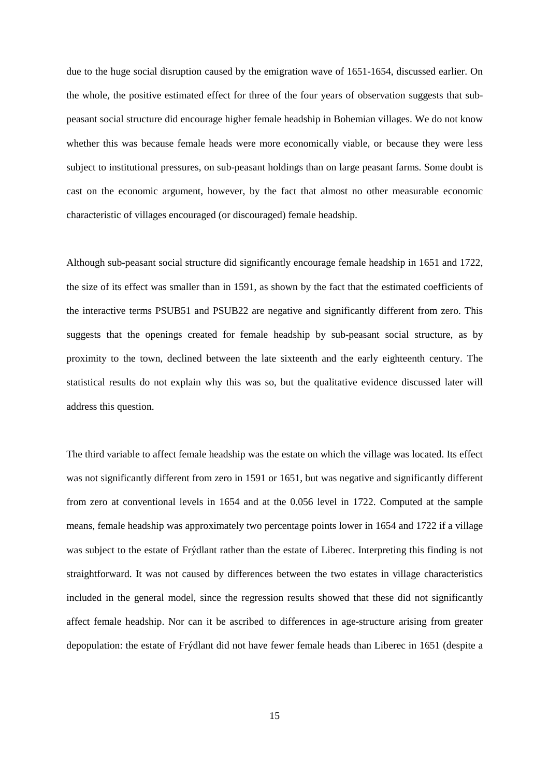due to the huge social disruption caused by the emigration wave of 1651-1654, discussed earlier. On the whole, the positive estimated effect for three of the four years of observation suggests that subpeasant social structure did encourage higher female headship in Bohemian villages. We do not know whether this was because female heads were more economically viable, or because they were less subject to institutional pressures, on sub-peasant holdings than on large peasant farms. Some doubt is cast on the economic argument, however, by the fact that almost no other measurable economic characteristic of villages encouraged (or discouraged) female headship.

Although sub-peasant social structure did significantly encourage female headship in 1651 and 1722, the size of its effect was smaller than in 1591, as shown by the fact that the estimated coefficients of the interactive terms PSUB51 and PSUB22 are negative and significantly different from zero. This suggests that the openings created for female headship by sub-peasant social structure, as by proximity to the town, declined between the late sixteenth and the early eighteenth century. The statistical results do not explain why this was so, but the qualitative evidence discussed later will address this question.

The third variable to affect female headship was the estate on which the village was located. Its effect was not significantly different from zero in 1591 or 1651, but was negative and significantly different from zero at conventional levels in 1654 and at the 0.056 level in 1722. Computed at the sample means, female headship was approximately two percentage points lower in 1654 and 1722 if a village was subject to the estate of Frýdlant rather than the estate of Liberec. Interpreting this finding is not straightforward. It was not caused by differences between the two estates in village characteristics included in the general model, since the regression results showed that these did not significantly affect female headship. Nor can it be ascribed to differences in age-structure arising from greater depopulation: the estate of Frýdlant did not have fewer female heads than Liberec in 1651 (despite a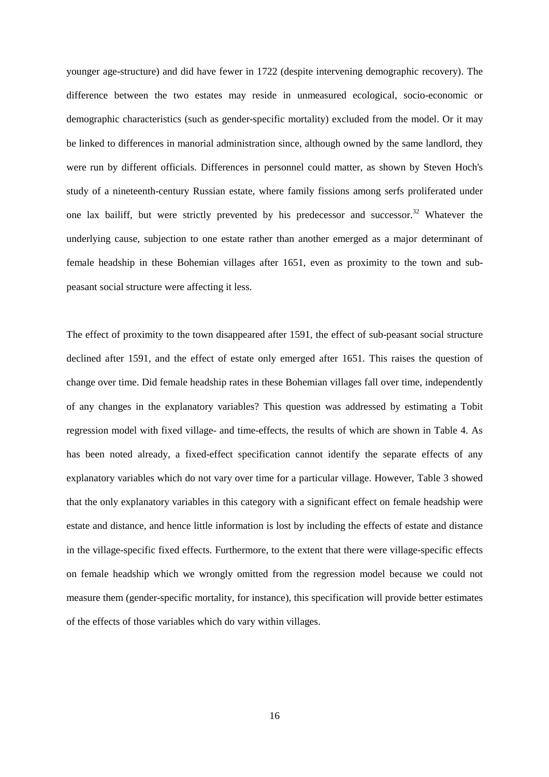younger age-structure) and did have fewer in 1722 (despite intervening demographic recovery). The difference between the two estates may reside in unmeasured ecological, socio-economic or demographic characteristics (such as gender-specific mortality) excluded from the model. Or it may be linked to differences in manorial administration since, although owned by the same landlord, they were run by different officials. Differences in personnel could matter, as shown by Steven Hoch's study of a nineteenth-century Russian estate, where family fissions among serfs proliferated under one lax bailiff, but were strictly prevented by his predecessor and successor.<sup>32</sup> Whatever the underlying cause, subjection to one estate rather than another emerged as a major determinant of female headship in these Bohemian villages after 1651, even as proximity to the town and subpeasant social structure were affecting it less.

The effect of proximity to the town disappeared after 1591, the effect of sub-peasant social structure declined after 1591, and the effect of estate only emerged after 1651. This raises the question of change over time. Did female headship rates in these Bohemian villages fall over time, independently of any changes in the explanatory variables? This question was addressed by estimating a Tobit regression model with fixed village- and time-effects, the results of which are shown in Table 4. As has been noted already, a fixed-effect specification cannot identify the separate effects of any explanatory variables which do not vary over time for a particular village. However, Table 3 showed that the only explanatory variables in this category with a significant effect on female headship were estate and distance, and hence little information is lost by including the effects of estate and distance in the village-specific fixed effects. Furthermore, to the extent that there were village-specific effects on female headship which we wrongly omitted from the regression model because we could not measure them (gender-specific mortality, for instance), this specification will provide better estimates of the effects of those variables which do vary within villages.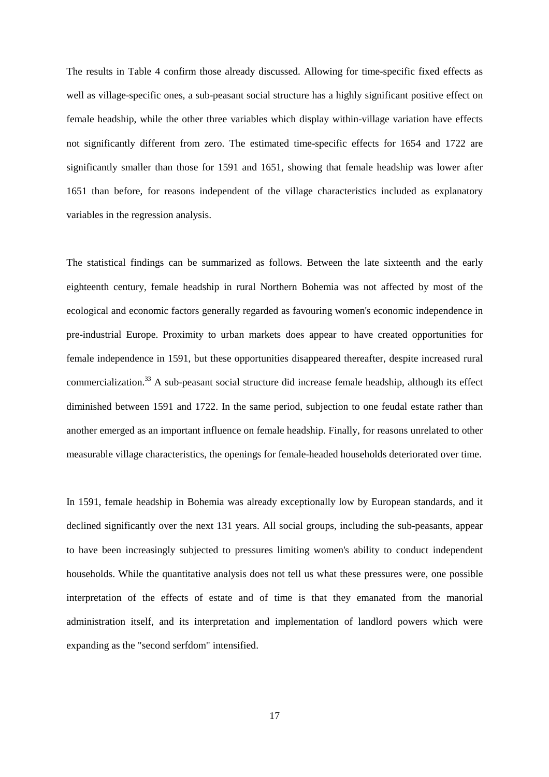The results in Table 4 confirm those already discussed. Allowing for time-specific fixed effects as well as village-specific ones, a sub-peasant social structure has a highly significant positive effect on female headship, while the other three variables which display within-village variation have effects not significantly different from zero. The estimated time-specific effects for 1654 and 1722 are significantly smaller than those for 1591 and 1651, showing that female headship was lower after 1651 than before, for reasons independent of the village characteristics included as explanatory variables in the regression analysis.

The statistical findings can be summarized as follows. Between the late sixteenth and the early eighteenth century, female headship in rural Northern Bohemia was not affected by most of the ecological and economic factors generally regarded as favouring women's economic independence in pre-industrial Europe. Proximity to urban markets does appear to have created opportunities for female independence in 1591, but these opportunities disappeared thereafter, despite increased rural commercialization.33 A sub-peasant social structure did increase female headship, although its effect diminished between 1591 and 1722. In the same period, subjection to one feudal estate rather than another emerged as an important influence on female headship. Finally, for reasons unrelated to other measurable village characteristics, the openings for female-headed households deteriorated over time.

In 1591, female headship in Bohemia was already exceptionally low by European standards, and it declined significantly over the next 131 years. All social groups, including the sub-peasants, appear to have been increasingly subjected to pressures limiting women's ability to conduct independent households. While the quantitative analysis does not tell us what these pressures were, one possible interpretation of the effects of estate and of time is that they emanated from the manorial administration itself, and its interpretation and implementation of landlord powers which were expanding as the "second serfdom" intensified.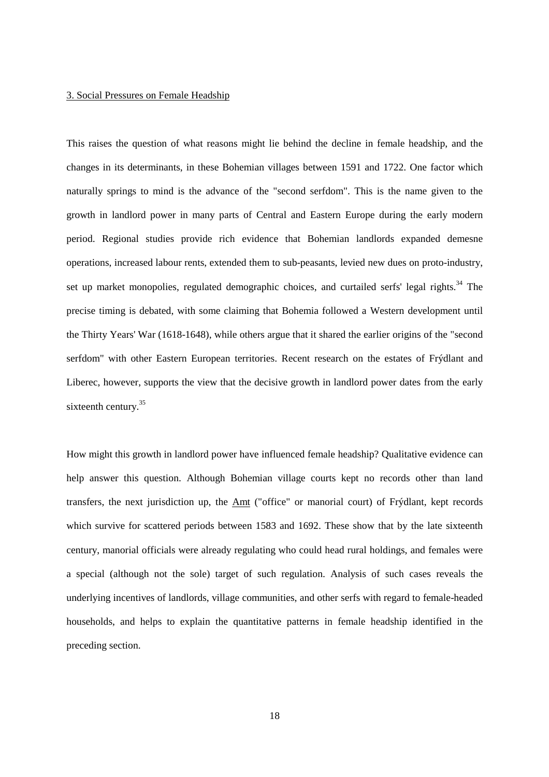#### 3. Social Pressures on Female Headship

This raises the question of what reasons might lie behind the decline in female headship, and the changes in its determinants, in these Bohemian villages between 1591 and 1722. One factor which naturally springs to mind is the advance of the "second serfdom". This is the name given to the growth in landlord power in many parts of Central and Eastern Europe during the early modern period. Regional studies provide rich evidence that Bohemian landlords expanded demesne operations, increased labour rents, extended them to sub-peasants, levied new dues on proto-industry, set up market monopolies, regulated demographic choices, and curtailed serfs' legal rights. $34$  The precise timing is debated, with some claiming that Bohemia followed a Western development until the Thirty Years' War (1618-1648), while others argue that it shared the earlier origins of the "second serfdom" with other Eastern European territories. Recent research on the estates of Frýdlant and Liberec, however, supports the view that the decisive growth in landlord power dates from the early sixteenth century.<sup>35</sup>

How might this growth in landlord power have influenced female headship? Qualitative evidence can help answer this question. Although Bohemian village courts kept no records other than land transfers, the next jurisdiction up, the Amt ("office" or manorial court) of Frýdlant, kept records which survive for scattered periods between 1583 and 1692. These show that by the late sixteenth century, manorial officials were already regulating who could head rural holdings, and females were a special (although not the sole) target of such regulation. Analysis of such cases reveals the underlying incentives of landlords, village communities, and other serfs with regard to female-headed households, and helps to explain the quantitative patterns in female headship identified in the preceding section.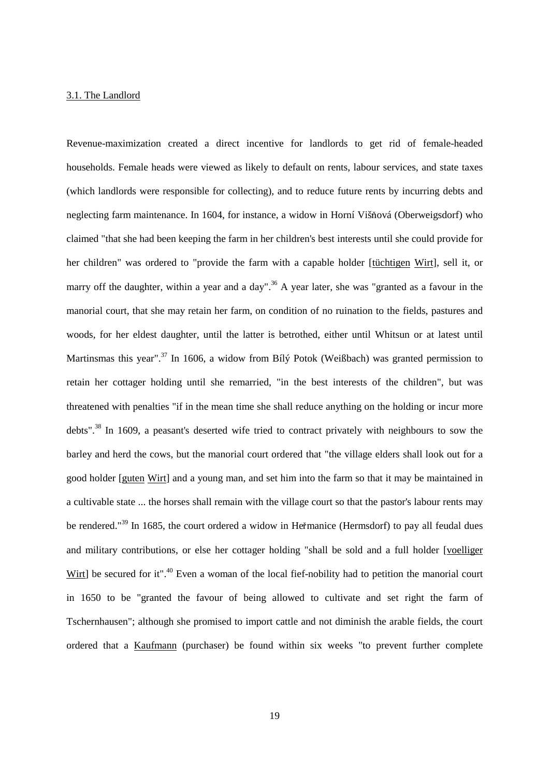#### 3.1. The Landlord

Revenue-maximization created a direct incentive for landlords to get rid of female-headed households. Female heads were viewed as likely to default on rents, labour services, and state taxes (which landlords were responsible for collecting), and to reduce future rents by incurring debts and neglecting farm maintenance. In 1604, for instance, a widow in Horní Višňová (Oberweigsdorf) who claimed "that she had been keeping the farm in her children's best interests until she could provide for her children" was ordered to "provide the farm with a capable holder [tuchtigen Wirt], sell it, or marry off the daughter, within a year and a day".<sup>36</sup> A year later, she was "granted as a favour in the manorial court, that she may retain her farm, on condition of no ruination to the fields, pastures and woods, for her eldest daughter, until the latter is betrothed, either until Whitsun or at latest until Martinsmas this year".<sup>37</sup> In 1606, a widow from Bílý Potok (Weißbach) was granted permission to retain her cottager holding until she remarried, "in the best interests of the children", but was threatened with penalties "if in the mean time she shall reduce anything on the holding or incur more debts".<sup>38</sup> In 1609, a peasant's deserted wife tried to contract privately with neighbours to sow the barley and herd the cows, but the manorial court ordered that "the village elders shall look out for a good holder [guten Wirt] and a young man, and set him into the farm so that it may be maintained in a cultivable state ... the horses shall remain with the village court so that the pastor's labour rents may be rendered."<sup>39</sup> In 1685, the court ordered a widow in Heřmanice (Hermsdorf) to pay all feudal dues and military contributions, or else her cottager holding "shall be sold and a full holder [voelliger Wirt] be secured for it".<sup>40</sup> Even a woman of the local fief-nobility had to petition the manorial court in 1650 to be "granted the favour of being allowed to cultivate and set right the farm of Tschernhausen"; although she promised to import cattle and not diminish the arable fields, the court ordered that a Kaufmann (purchaser) be found within six weeks "to prevent further complete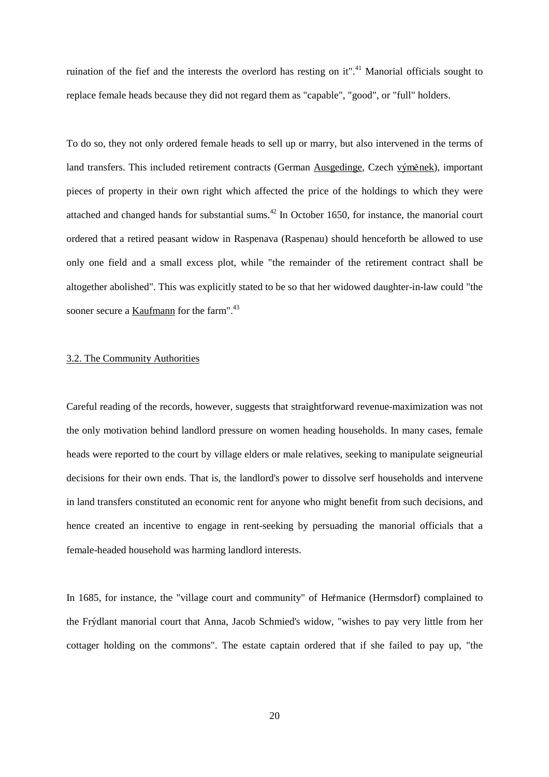ruination of the fief and the interests the overlord has resting on it".<sup>41</sup> Manorial officials sought to replace female heads because they did not regard them as "capable", "good", or "full" holders.

To do so, they not only ordered female heads to sell up or marry, but also intervened in the terms of land transfers. This included retirement contracts (German Ausgedinge, Czech výměnek), important pieces of property in their own right which affected the price of the holdings to which they were attached and changed hands for substantial sums.<sup>42</sup> In October 1650, for instance, the manorial court ordered that a retired peasant widow in Raspenava (Raspenau) should henceforth be allowed to use only one field and a small excess plot, while "the remainder of the retirement contract shall be altogether abolished". This was explicitly stated to be so that her widowed daughter-in-law could "the sooner secure a Kaufmann for the farm".<sup>43</sup>

### 3.2. The Community Authorities

Careful reading of the records, however, suggests that straightforward revenue-maximization was not the only motivation behind landlord pressure on women heading households. In many cases, female heads were reported to the court by village elders or male relatives, seeking to manipulate seigneurial decisions for their own ends. That is, the landlord's power to dissolve serf households and intervene in land transfers constituted an economic rent for anyone who might benefit from such decisions, and hence created an incentive to engage in rent-seeking by persuading the manorial officials that a female-headed household was harming landlord interests.

In 1685, for instance, the "village court and community" of Hemanice (Hermsdorf) complained to the Frýdlant manorial court that Anna, Jacob Schmied's widow, "wishes to pay very little from her cottager holding on the commons". The estate captain ordered that if she failed to pay up, "the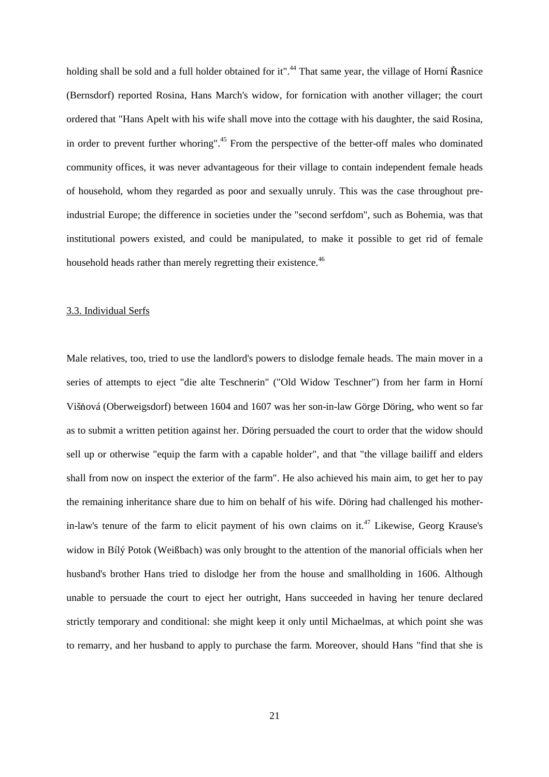holding shall be sold and a full holder obtained for it".<sup>44</sup> That same year, the village of Horní Řasnice (Bernsdorf) reported Rosina, Hans March's widow, for fornication with another villager; the court ordered that "Hans Apelt with his wife shall move into the cottage with his daughter, the said Rosina, in order to prevent further whoring".<sup>45</sup> From the perspective of the better-off males who dominated community offices, it was never advantageous for their village to contain independent female heads of household, whom they regarded as poor and sexually unruly. This was the case throughout preindustrial Europe; the difference in societies under the "second serfdom", such as Bohemia, was that institutional powers existed, and could be manipulated, to make it possible to get rid of female household heads rather than merely regretting their existence.<sup>46</sup>

#### 3.3. Individual Serfs

Male relatives, too, tried to use the landlord's powers to dislodge female heads. The main mover in a series of attempts to eject "die alte Teschnerin" ("Old Widow Teschner") from her farm in Horní Višňová (Oberweigsdorf) between 1604 and 1607 was her son-in-law Görge Döring, who went so far as to submit a written petition against her. Döring persuaded the court to order that the widow should sell up or otherwise "equip the farm with a capable holder", and that "the village bailiff and elders shall from now on inspect the exterior of the farm". He also achieved his main aim, to get her to pay the remaining inheritance share due to him on behalf of his wife. Döring had challenged his motherin-law's tenure of the farm to elicit payment of his own claims on it.<sup>47</sup> Likewise, Georg Krause's widow in Bílý Potok (Weißbach) was only brought to the attention of the manorial officials when her husband's brother Hans tried to dislodge her from the house and smallholding in 1606. Although unable to persuade the court to eject her outright, Hans succeeded in having her tenure declared strictly temporary and conditional: she might keep it only until Michaelmas, at which point she was to remarry, and her husband to apply to purchase the farm. Moreover, should Hans "find that she is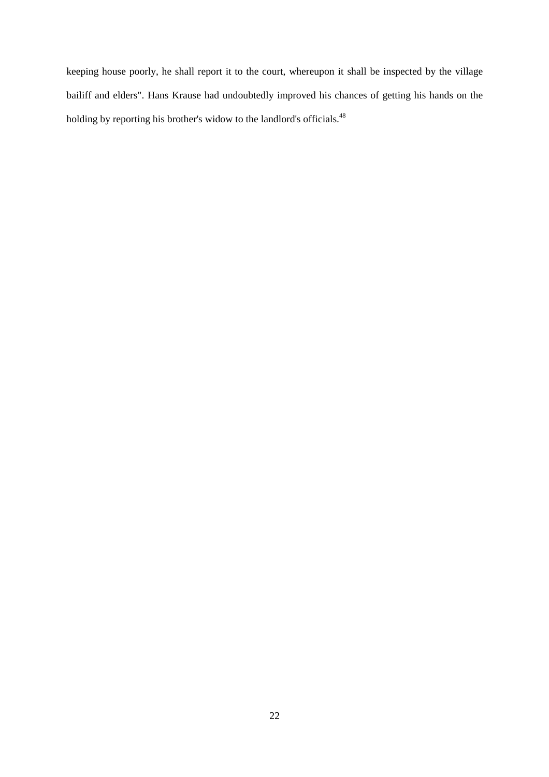keeping house poorly, he shall report it to the court, whereupon it shall be inspected by the village bailiff and elders". Hans Krause had undoubtedly improved his chances of getting his hands on the holding by reporting his brother's widow to the landlord's officials.<sup>48</sup>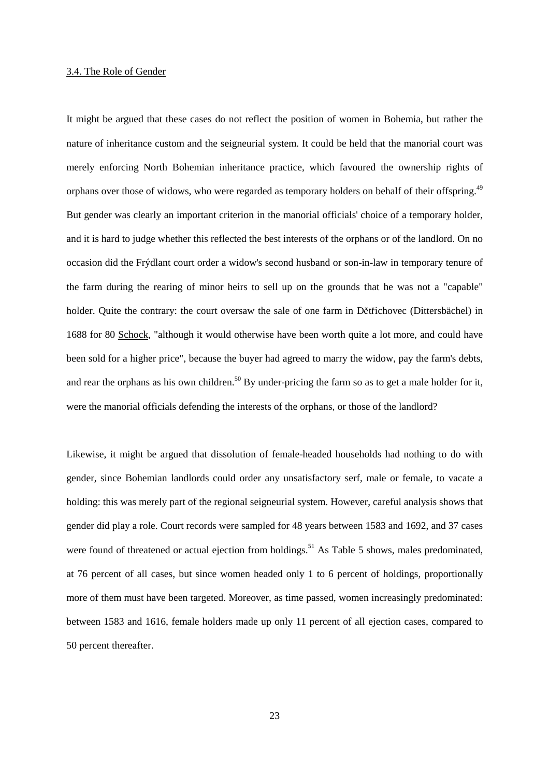#### 3.4. The Role of Gender

It might be argued that these cases do not reflect the position of women in Bohemia, but rather the nature of inheritance custom and the seigneurial system. It could be held that the manorial court was merely enforcing North Bohemian inheritance practice, which favoured the ownership rights of orphans over those of widows, who were regarded as temporary holders on behalf of their offspring.<sup>49</sup> But gender was clearly an important criterion in the manorial officials' choice of a temporary holder, and it is hard to judge whether this reflected the best interests of the orphans or of the landlord. On no occasion did the Frýdlant court order a widow's second husband or son-in-law in temporary tenure of the farm during the rearing of minor heirs to sell up on the grounds that he was not a "capable" holder. Quite the contrary: the court oversaw the sale of one farm in Dětřichovec (Dittersbächel) in 1688 for 80 Schock, "although it would otherwise have been worth quite a lot more, and could have been sold for a higher price", because the buyer had agreed to marry the widow, pay the farm's debts, and rear the orphans as his own children.<sup>50</sup> By under-pricing the farm so as to get a male holder for it, were the manorial officials defending the interests of the orphans, or those of the landlord?

Likewise, it might be argued that dissolution of female-headed households had nothing to do with gender, since Bohemian landlords could order any unsatisfactory serf, male or female, to vacate a holding: this was merely part of the regional seigneurial system. However, careful analysis shows that gender did play a role. Court records were sampled for 48 years between 1583 and 1692, and 37 cases were found of threatened or actual ejection from holdings.<sup>51</sup> As Table 5 shows, males predominated, at 76 percent of all cases, but since women headed only 1 to 6 percent of holdings, proportionally more of them must have been targeted. Moreover, as time passed, women increasingly predominated: between 1583 and 1616, female holders made up only 11 percent of all ejection cases, compared to 50 percent thereafter.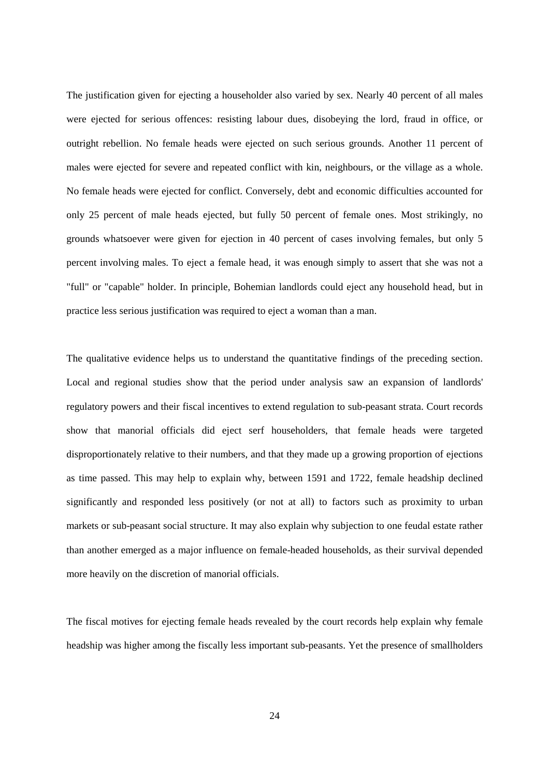The justification given for ejecting a householder also varied by sex. Nearly 40 percent of all males were ejected for serious offences: resisting labour dues, disobeying the lord, fraud in office, or outright rebellion. No female heads were ejected on such serious grounds. Another 11 percent of males were ejected for severe and repeated conflict with kin, neighbours, or the village as a whole. No female heads were ejected for conflict. Conversely, debt and economic difficulties accounted for only 25 percent of male heads ejected, but fully 50 percent of female ones. Most strikingly, no grounds whatsoever were given for ejection in 40 percent of cases involving females, but only 5 percent involving males. To eject a female head, it was enough simply to assert that she was not a "full" or "capable" holder. In principle, Bohemian landlords could eject any household head, but in practice less serious justification was required to eject a woman than a man.

The qualitative evidence helps us to understand the quantitative findings of the preceding section. Local and regional studies show that the period under analysis saw an expansion of landlords' regulatory powers and their fiscal incentives to extend regulation to sub-peasant strata. Court records show that manorial officials did eject serf householders, that female heads were targeted disproportionately relative to their numbers, and that they made up a growing proportion of ejections as time passed. This may help to explain why, between 1591 and 1722, female headship declined significantly and responded less positively (or not at all) to factors such as proximity to urban markets or sub-peasant social structure. It may also explain why subjection to one feudal estate rather than another emerged as a major influence on female-headed households, as their survival depended more heavily on the discretion of manorial officials.

The fiscal motives for ejecting female heads revealed by the court records help explain why female headship was higher among the fiscally less important sub-peasants. Yet the presence of smallholders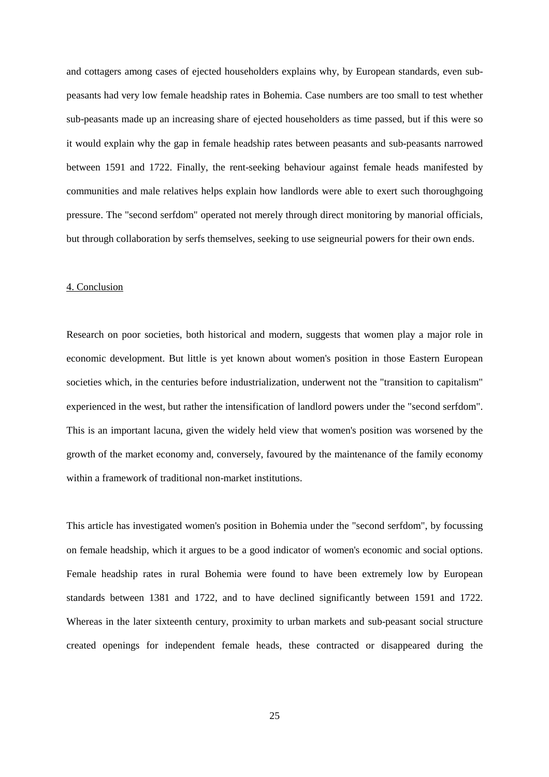and cottagers among cases of ejected householders explains why, by European standards, even subpeasants had very low female headship rates in Bohemia. Case numbers are too small to test whether sub-peasants made up an increasing share of ejected householders as time passed, but if this were so it would explain why the gap in female headship rates between peasants and sub-peasants narrowed between 1591 and 1722. Finally, the rent-seeking behaviour against female heads manifested by communities and male relatives helps explain how landlords were able to exert such thoroughgoing pressure. The "second serfdom" operated not merely through direct monitoring by manorial officials, but through collaboration by serfs themselves, seeking to use seigneurial powers for their own ends.

#### 4. Conclusion

Research on poor societies, both historical and modern, suggests that women play a major role in economic development. But little is yet known about women's position in those Eastern European societies which, in the centuries before industrialization, underwent not the "transition to capitalism" experienced in the west, but rather the intensification of landlord powers under the "second serfdom". This is an important lacuna, given the widely held view that women's position was worsened by the growth of the market economy and, conversely, favoured by the maintenance of the family economy within a framework of traditional non-market institutions.

This article has investigated women's position in Bohemia under the "second serfdom", by focussing on female headship, which it argues to be a good indicator of women's economic and social options. Female headship rates in rural Bohemia were found to have been extremely low by European standards between 1381 and 1722, and to have declined significantly between 1591 and 1722. Whereas in the later sixteenth century, proximity to urban markets and sub-peasant social structure created openings for independent female heads, these contracted or disappeared during the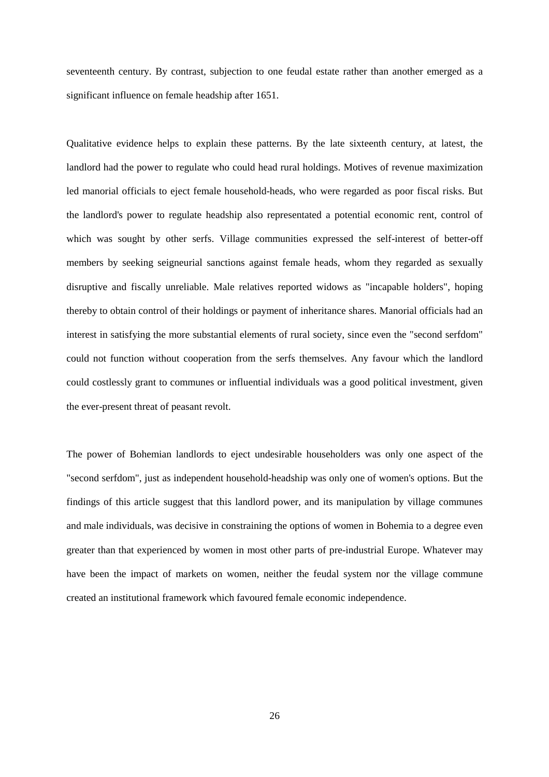seventeenth century. By contrast, subjection to one feudal estate rather than another emerged as a significant influence on female headship after 1651.

Qualitative evidence helps to explain these patterns. By the late sixteenth century, at latest, the landlord had the power to regulate who could head rural holdings. Motives of revenue maximization led manorial officials to eject female household-heads, who were regarded as poor fiscal risks. But the landlord's power to regulate headship also representated a potential economic rent, control of which was sought by other serfs. Village communities expressed the self-interest of better-off members by seeking seigneurial sanctions against female heads, whom they regarded as sexually disruptive and fiscally unreliable. Male relatives reported widows as "incapable holders", hoping thereby to obtain control of their holdings or payment of inheritance shares. Manorial officials had an interest in satisfying the more substantial elements of rural society, since even the "second serfdom" could not function without cooperation from the serfs themselves. Any favour which the landlord could costlessly grant to communes or influential individuals was a good political investment, given the ever-present threat of peasant revolt.

The power of Bohemian landlords to eject undesirable householders was only one aspect of the "second serfdom", just as independent household-headship was only one of women's options. But the findings of this article suggest that this landlord power, and its manipulation by village communes and male individuals, was decisive in constraining the options of women in Bohemia to a degree even greater than that experienced by women in most other parts of pre-industrial Europe. Whatever may have been the impact of markets on women, neither the feudal system nor the village commune created an institutional framework which favoured female economic independence.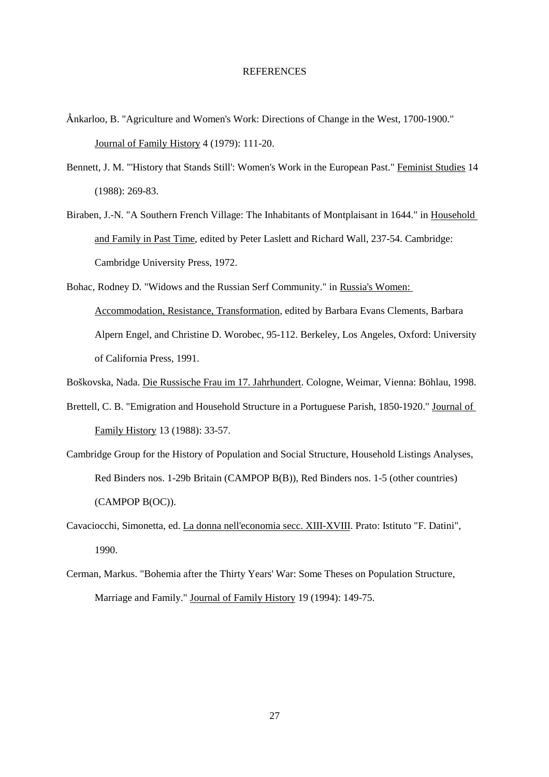#### REFERENCES

- nkarloo, B. "Agriculture and Women's Work: Directions of Change in the West, 1700-1900." Journal of Family History 4 (1979): 111-20.
- Bennett, J. M. "'History that Stands Still': Women's Work in the European Past." Feminist Studies 14 (1988): 269-83.
- Biraben, J.-N. "A Southern French Village: The Inhabitants of Montplaisant in 1644." in Household and Family in Past Time, edited by Peter Laslett and Richard Wall, 237-54. Cambridge: Cambridge University Press, 1972.
- Bohac, Rodney D. "Widows and the Russian Serf Community." in Russia's Women: Accommodation, Resistance, Transformation, edited by Barbara Evans Clements, Barbara Alpern Engel, and Christine D. Worobec, 95-112. Berkeley, Los Angeles, Oxford: University of California Press, 1991.
- Boškovska, Nada. Die Russische Frau im 17. Jahrhundert. Cologne, Weimar, Vienna: Böhlau, 1998.
- Brettell, C. B. "Emigration and Household Structure in a Portuguese Parish, 1850-1920." Journal of Family History 13 (1988): 33-57.
- Cambridge Group for the History of Population and Social Structure, Household Listings Analyses, Red Binders nos. 1-29b Britain (CAMPOP B(B)), Red Binders nos. 1-5 (other countries) (CAMPOP B(OC)).
- Cavaciocchi, Simonetta, ed. La donna nell'economia secc. XIII-XVIII. Prato: Istituto "F. Datini", 1990.
- Cerman, Markus. "Bohemia after the Thirty Years' War: Some Theses on Population Structure, Marriage and Family." Journal of Family History 19 (1994): 149-75.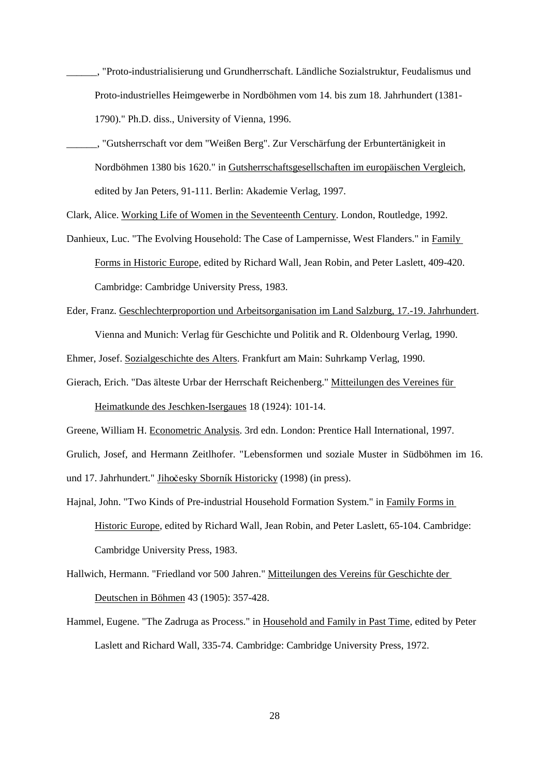- \_\_\_\_\_\_, "Proto-industrialisierung und Grundherrschaft. Ländliche Sozialstruktur, Feudalismus und Proto-industrielles Heimgewerbe in Nordböhmen vom 14. bis zum 18. Jahrhundert (1381- 1790)." Ph.D. diss., University of Vienna, 1996.
- \_\_\_\_\_\_, "Gutsherrschaft vor dem "Weißen Berg". Zur Verschärfung der Erbuntertänigkeit in Nordböhmen 1380 bis 1620." in Gutsherrschaftsgesellschaften im europäischen Vergleich, edited by Jan Peters, 91-111. Berlin: Akademie Verlag, 1997.

Clark, Alice. Working Life of Women in the Seventeenth Century. London, Routledge, 1992.

Danhieux, Luc. "The Evolving Household: The Case of Lampernisse, West Flanders." in Family Forms in Historic Europe, edited by Richard Wall, Jean Robin, and Peter Laslett, 409-420. Cambridge: Cambridge University Press, 1983.

Eder, Franz. Geschlechterproportion und Arbeitsorganisation im Land Salzburg, 17.-19. Jahrhundert.

Vienna and Munich: Verlag für Geschichte und Politik and R. Oldenbourg Verlag, 1990.

Ehmer, Josef. Sozialgeschichte des Alters. Frankfurt am Main: Suhrkamp Verlag, 1990.

Gierach, Erich. "Das älteste Urbar der Herrschaft Reichenberg." Mitteilungen des Vereines für

Heimatkunde des Jeschken-Isergaues 18 (1924): 101-14.

Greene, William H. Econometric Analysis. 3rd edn. London: Prentice Hall International, 1997.

Grulich, Josef, and Hermann Zeitlhofer. "Lebensformen und soziale Muster in Südböhmen im 16.

und 17. Jahrhundert." Jihočesky Sborník Historicky (1998) (in press).

- Hajnal, John. "Two Kinds of Pre-industrial Household Formation System." in Family Forms in Historic Europe, edited by Richard Wall, Jean Robin, and Peter Laslett, 65-104. Cambridge: Cambridge University Press, 1983.
- Hallwich, Hermann. "Friedland vor 500 Jahren." Mitteilungen des Vereins für Geschichte der Deutschen in Böhmen 43 (1905): 357-428.
- Hammel, Eugene. "The Zadruga as Process." in Household and Family in Past Time, edited by Peter Laslett and Richard Wall, 335-74. Cambridge: Cambridge University Press, 1972.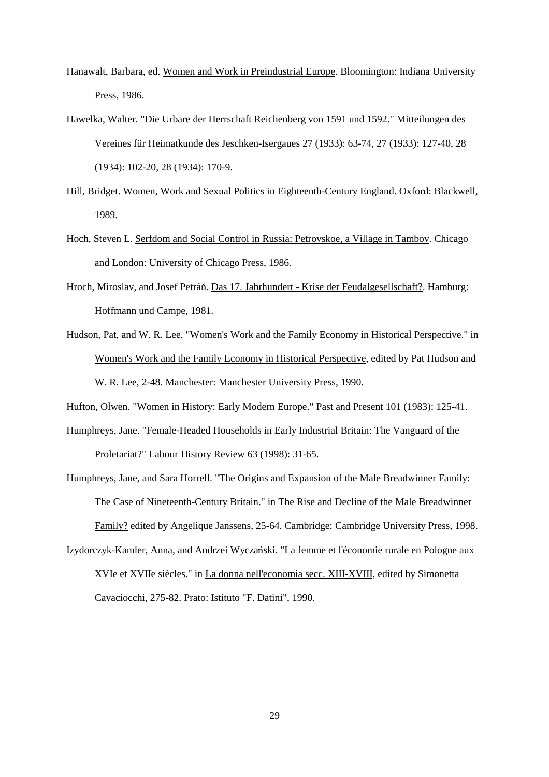- Hanawalt, Barbara, ed. Women and Work in Preindustrial Europe. Bloomington: Indiana University Press, 1986.
- Hawelka, Walter. "Die Urbare der Herrschaft Reichenberg von 1591 und 1592." Mitteilungen des Vereines für Heimatkunde des Jeschken-Isergaues 27 (1933): 63-74, 27 (1933): 127-40, 28 (1934): 102-20, 28 (1934): 170-9.
- Hill, Bridget. Women, Work and Sexual Politics in Eighteenth-Century England. Oxford: Blackwell, 1989.
- Hoch, Steven L. Serfdom and Social Control in Russia: Petrovskoe, a Village in Tambov. Chicago and London: University of Chicago Press, 1986.
- Hroch, Miroslav, and Josef Petráň. Das 17. Jahrhundert Krise der Feudalgesellschaft?. Hamburg: Hoffmann und Campe, 1981.
- Hudson, Pat, and W. R. Lee. "Women's Work and the Family Economy in Historical Perspective." in Women's Work and the Family Economy in Historical Perspective, edited by Pat Hudson and W. R. Lee, 2-48. Manchester: Manchester University Press, 1990.

Hufton, Olwen. "Women in History: Early Modern Europe." Past and Present 101 (1983): 125-41.

- Humphreys, Jane. "Female-Headed Households in Early Industrial Britain: The Vanguard of the Proletariat?" Labour History Review 63 (1998): 31-65.
- Humphreys, Jane, and Sara Horrell. "The Origins and Expansion of the Male Breadwinner Family: The Case of Nineteenth-Century Britain." in The Rise and Decline of the Male Breadwinner Family? edited by Angelique Janssens, 25-64. Cambridge: Cambridge University Press, 1998.
- Izydorczyk-Kamler, Anna, and Andrzei Wyczański. "La femme et l'économie rurale en Pologne aux XVIe et XVIIe siècles." in La donna nell'economia secc. XIII-XVIII, edited by Simonetta Cavaciocchi, 275-82. Prato: Istituto "F. Datini", 1990.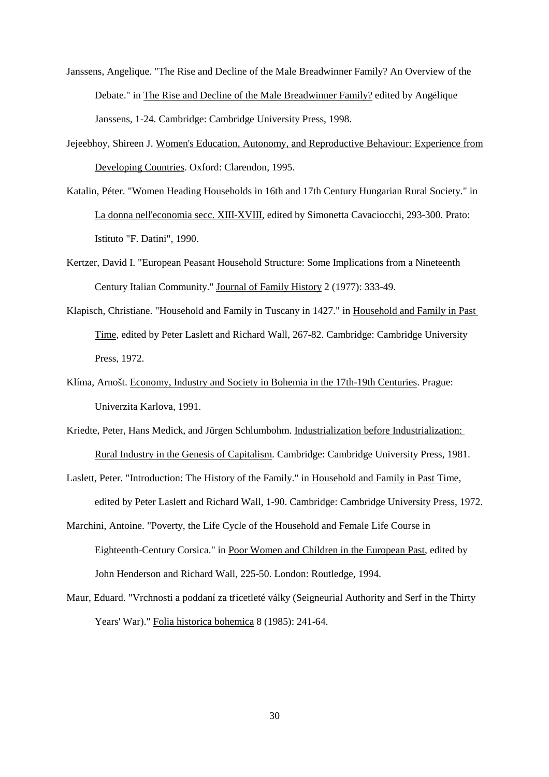- Janssens, Angelique. "The Rise and Decline of the Male Breadwinner Family? An Overview of the Debate." in The Rise and Decline of the Male Breadwinner Family? edited by Angélique Janssens, 1-24. Cambridge: Cambridge University Press, 1998.
- Jejeebhoy, Shireen J. Women's Education, Autonomy, and Reproductive Behaviour: Experience from Developing Countries. Oxford: Clarendon, 1995.
- Katalin, Péter. "Women Heading Households in 16th and 17th Century Hungarian Rural Society." in La donna nell'economia secc. XIII-XVIII, edited by Simonetta Cavaciocchi, 293-300. Prato: Istituto "F. Datini", 1990.
- Kertzer, David I. "European Peasant Household Structure: Some Implications from a Nineteenth Century Italian Community." Journal of Family History 2 (1977): 333-49.
- Klapisch, Christiane. "Household and Family in Tuscany in 1427." in Household and Family in Past Time, edited by Peter Laslett and Richard Wall, 267-82. Cambridge: Cambridge University Press, 1972.
- Klíma, Arnošt. Economy, Industry and Society in Bohemia in the 17th-19th Centuries. Prague: Univerzita Karlova, 1991.
- Kriedte, Peter, Hans Medick, and Jürgen Schlumbohm. Industrialization before Industrialization: Rural Industry in the Genesis of Capitalism. Cambridge: Cambridge University Press, 1981.
- Laslett, Peter. "Introduction: The History of the Family." in Household and Family in Past Time, edited by Peter Laslett and Richard Wall, 1-90. Cambridge: Cambridge University Press, 1972.
- Marchini, Antoine. "Poverty, the Life Cycle of the Household and Female Life Course in Eighteenth-Century Corsica." in Poor Women and Children in the European Past, edited by John Henderson and Richard Wall, 225-50. London: Routledge, 1994.
- Maur, Eduard. "Vrchnosti a poddaní za ticetleté války (Seigneurial Authority and Serf in the Thirty Years' War)." Folia historica bohemica 8 (1985): 241-64.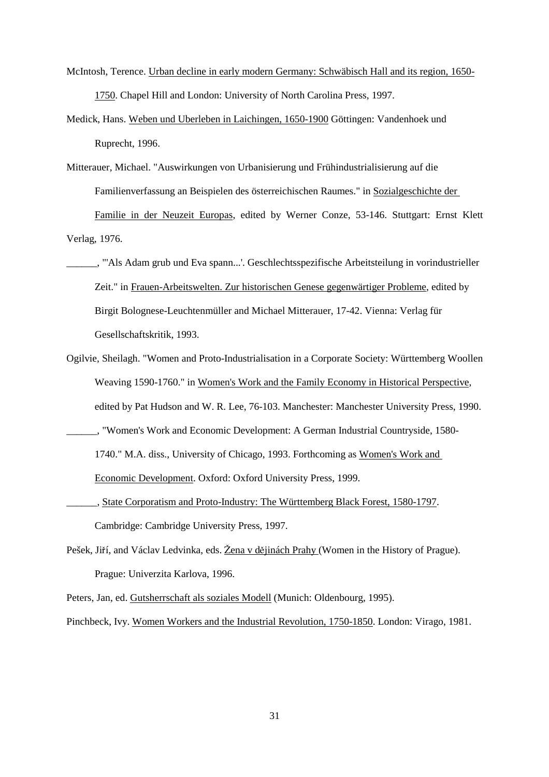- McIntosh, Terence. Urban decline in early modern Germany: Schwäbisch Hall and its region, 1650- 1750. Chapel Hill and London: University of North Carolina Press, 1997.
- Medick, Hans. Weben und Uberleben in Laichingen, 1650-1900 Göttingen: Vandenhoek und Ruprecht, 1996.
- Mitterauer, Michael. "Auswirkungen von Urbanisierung und Frühindustrialisierung auf die Familienverfassung an Beispielen des österreichischen Raumes." in Sozialgeschichte der

Familie in der Neuzeit Europas, edited by Werner Conze, 53-146. Stuttgart: Ernst Klett Verlag, 1976.

- \_\_\_\_\_\_, "'Als Adam grub und Eva spann...'. Geschlechtsspezifische Arbeitsteilung in vorindustrieller Zeit." in Frauen-Arbeitswelten. Zur historischen Genese gegenwärtiger Probleme, edited by Birgit Bolognese-Leuchtenmüller and Michael Mitterauer, 17-42. Vienna: Verlag für Gesellschaftskritik, 1993.
- Ogilvie, Sheilagh. "Women and Proto-Industrialisation in a Corporate Society: Württemberg Woollen Weaving 1590-1760." in Women's Work and the Family Economy in Historical Perspective, edited by Pat Hudson and W. R. Lee, 76-103. Manchester: Manchester University Press, 1990. \_\_\_\_\_\_, "Women's Work and Economic Development: A German Industrial Countryside, 1580- 1740." M.A. diss., University of Chicago, 1993. Forthcoming as Women's Work and

Economic Development. Oxford: Oxford University Press, 1999.

- \_\_\_\_\_\_, State Corporatism and Proto-Industry: The Württemberg Black Forest, 1580-1797. Cambridge: Cambridge University Press, 1997.
- Pešek, Jiří, and Václav Ledvinka, eds. Žena v dějinách Prahy (Women in the History of Prague). Prague: Univerzita Karlova, 1996.

Peters, Jan, ed. Gutsherrschaft als soziales Modell (Munich: Oldenbourg, 1995).

Pinchbeck, Ivy. Women Workers and the Industrial Revolution, 1750-1850. London: Virago, 1981.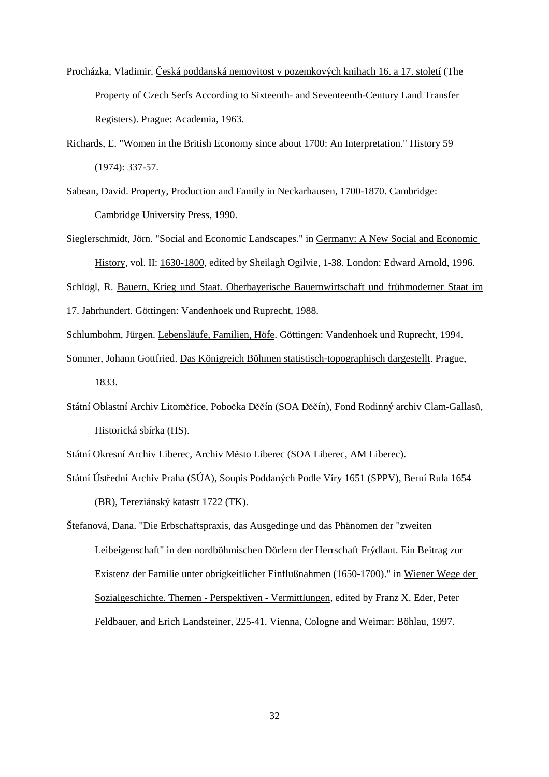- Procházka, Vladimir. Česká poddanská nemovitost v pozemkových knihach 16. a 17. století (The Property of Czech Serfs According to Sixteenth- and Seventeenth-Century Land Transfer Registers). Prague: Academia, 1963.
- Richards, E. "Women in the British Economy since about 1700: An Interpretation." History 59 (1974): 337-57.
- Sabean, David. Property, Production and Family in Neckarhausen, 1700-1870. Cambridge: Cambridge University Press, 1990.
- Sieglerschmidt, Jörn. "Social and Economic Landscapes." in Germany: A New Social and Economic History, vol. II: 1630-1800, edited by Sheilagh Ogilvie, 1-38. London: Edward Arnold, 1996.

Schlögl, R. Bauern, Krieg und Staat. Oberbayerische Bauernwirtschaft und frühmoderner Staat im 17. Jahrhundert. Göttingen: Vandenhoek und Ruprecht, 1988.

Schlumbohm, Jürgen. Lebensläufe, Familien, Höfe. Göttingen: Vandenhoek und Ruprecht, 1994.

- Sommer, Johann Gottfried. Das Königreich Böhmen statistisch-topographisch dargestellt. Prague, 1833.
- Státní Oblastní Archiv Litoměřice, Pobočka Děčín (SOA Děčín), Fond Rodinný archiv Clam-Gallasů, Historická sbírka (HS).

Státní Okresní Archiv Liberec, Archiv Město Liberec (SOA Liberec, AM Liberec).

- Státní Ústřední Archiv Praha (SÚA), Soupis Poddaných Podle Víry 1651 (SPPV), Berní Rula 1654 (BR), Tereziánský katastr 1722 (TK).
- Štefanová, Dana. "Die Erbschaftspraxis, das Ausgedinge und das Phänomen der "zweiten Leibeigenschaft" in den nordböhmischen Dörfern der Herrschaft Frýdlant. Ein Beitrag zur Existenz der Familie unter obrigkeitlicher Einflußnahmen (1650-1700)." in Wiener Wege der Sozialgeschichte. Themen - Perspektiven - Vermittlungen, edited by Franz X. Eder, Peter Feldbauer, and Erich Landsteiner, 225-41. Vienna, Cologne and Weimar: Böhlau, 1997.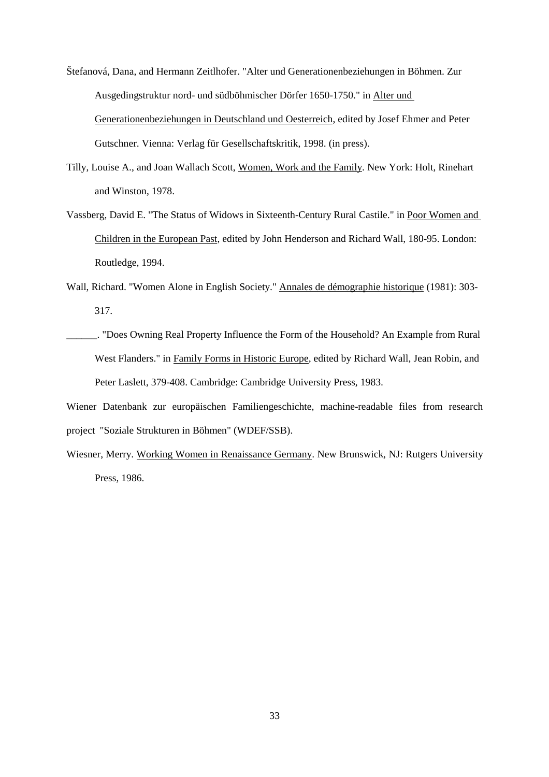Štefanová, Dana, and Hermann Zeitlhofer. "Alter und Generationenbeziehungen in Böhmen. Zur Ausgedingstruktur nord- und südböhmischer Dörfer 1650-1750." in Alter und Generationenbeziehungen in Deutschland und Oesterreich, edited by Josef Ehmer and Peter Gutschner. Vienna: Verlag für Gesellschaftskritik, 1998. (in press).

- Tilly, Louise A., and Joan Wallach Scott, Women, Work and the Family. New York: Holt, Rinehart and Winston, 1978.
- Vassberg, David E. "The Status of Widows in Sixteenth-Century Rural Castile." in Poor Women and Children in the European Past, edited by John Henderson and Richard Wall, 180-95. London: Routledge, 1994.
- Wall, Richard. "Women Alone in English Society." Annales de démographie historique (1981): 303- 317.
- \_\_\_\_\_\_. "Does Owning Real Property Influence the Form of the Household? An Example from Rural West Flanders." in Family Forms in Historic Europe, edited by Richard Wall, Jean Robin, and Peter Laslett, 379-408. Cambridge: Cambridge University Press, 1983.

Wiener Datenbank zur europäischen Familiengeschichte, machine-readable files from research project "Soziale Strukturen in Böhmen" (WDEF/SSB).

Wiesner, Merry. Working Women in Renaissance Germany. New Brunswick, NJ: Rutgers University Press, 1986.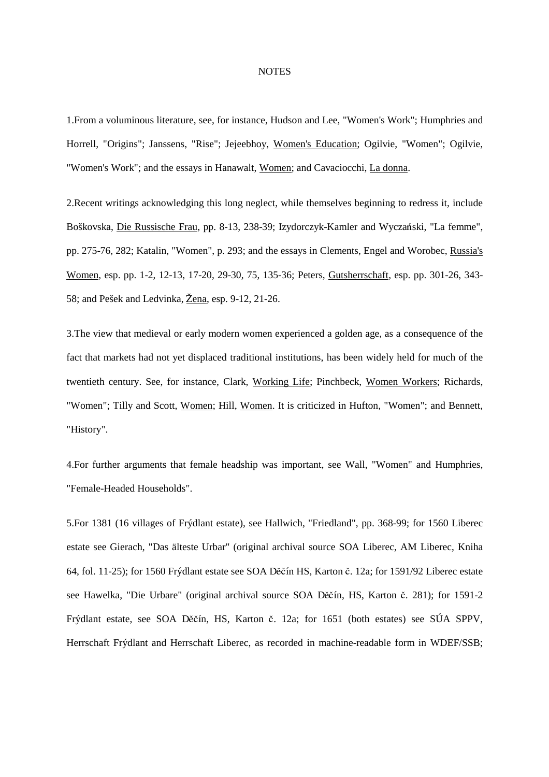#### **NOTES**

1.From a voluminous literature, see, for instance, Hudson and Lee, "Women's Work"; Humphries and Horrell, "Origins"; Janssens, "Rise"; Jejeebhoy, Women's Education; Ogilvie, "Women"; Ogilvie, "Women's Work"; and the essays in Hanawalt, Women; and Cavaciocchi, La donna.

2.Recent writings acknowledging this long neglect, while themselves beginning to redress it, include Boškovska, Die Russische Frau, pp. 8-13, 238-39; Izydorczyk-Kamler and Wyczański, "La femme", pp. 275-76, 282; Katalin, "Women", p. 293; and the essays in Clements, Engel and Worobec, Russia's Women, esp. pp. 1-2, 12-13, 17-20, 29-30, 75, 135-36; Peters, Gutsherrschaft, esp. pp. 301-26, 343- 58; and Pešek and Ledvinka, Žena, esp. 9-12, 21-26.

3.The view that medieval or early modern women experienced a golden age, as a consequence of the fact that markets had not yet displaced traditional institutions, has been widely held for much of the twentieth century. See, for instance, Clark, Working Life; Pinchbeck, Women Workers; Richards, "Women"; Tilly and Scott, Women; Hill, Women. It is criticized in Hufton, "Women"; and Bennett, "History".

4.For further arguments that female headship was important, see Wall, "Women" and Humphries, "Female-Headed Households".

5.For 1381 (16 villages of Frýdlant estate), see Hallwich, "Friedland", pp. 368-99; for 1560 Liberec estate see Gierach, "Das älteste Urbar" (original archival source SOA Liberec, AM Liberec, Kniha 64, fol. 11-25); for 1560 Frýdlant estate see SOA Děčín HS, Karton č. 12a; for 1591/92 Liberec estate see Hawelka, "Die Urbare" (original archival source SOA Děčín, HS, Karton č. 281); for 1591-2 Frýdlant estate, see SOA Děčín, HS, Karton č. 12a; for 1651 (both estates) see SÚA SPPV, Herrschaft Frýdlant and Herrschaft Liberec, as recorded in machine-readable form in WDEF/SSB;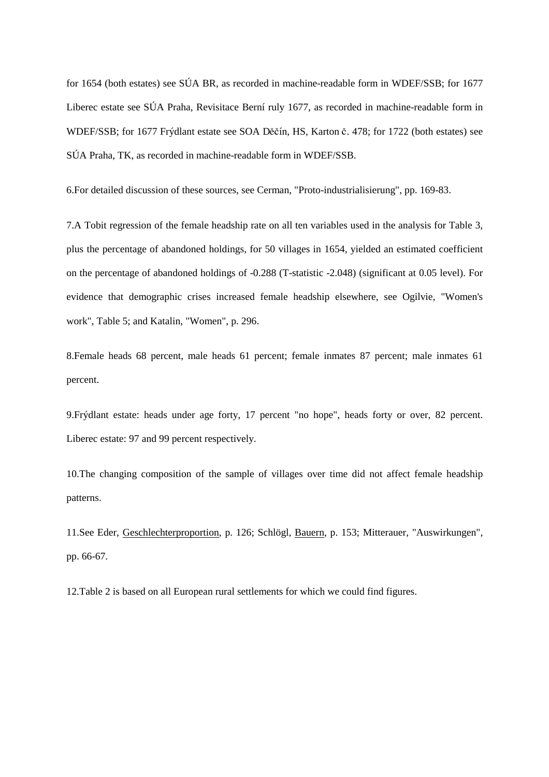for 1654 (both estates) see SÚA BR, as recorded in machine-readable form in WDEF/SSB; for 1677 Liberec estate see SÚA Praha, Revisitace Berní ruly 1677, as recorded in machine-readable form in WDEF/SSB; for 1677 Frýdlant estate see SOA Děčín, HS, Karton č. 478; for 1722 (both estates) see SÚA Praha, TK, as recorded in machine-readable form in WDEF/SSB.

6.For detailed discussion of these sources, see Cerman, "Proto-industrialisierung", pp. 169-83.

7.A Tobit regression of the female headship rate on all ten variables used in the analysis for Table 3, plus the percentage of abandoned holdings, for 50 villages in 1654, yielded an estimated coefficient on the percentage of abandoned holdings of -0.288 (T-statistic -2.048) (significant at 0.05 level). For evidence that demographic crises increased female headship elsewhere, see Ogilvie, "Women's work", Table 5; and Katalin, "Women", p. 296.

8.Female heads 68 percent, male heads 61 percent; female inmates 87 percent; male inmates 61 percent.

9.Frýdlant estate: heads under age forty, 17 percent "no hope", heads forty or over, 82 percent. Liberec estate: 97 and 99 percent respectively.

10.The changing composition of the sample of villages over time did not affect female headship patterns.

11.See Eder, Geschlechterproportion, p. 126; Schlögl, Bauern, p. 153; Mitterauer, "Auswirkungen", pp. 66-67.

12.Table 2 is based on all European rural settlements for which we could find figures.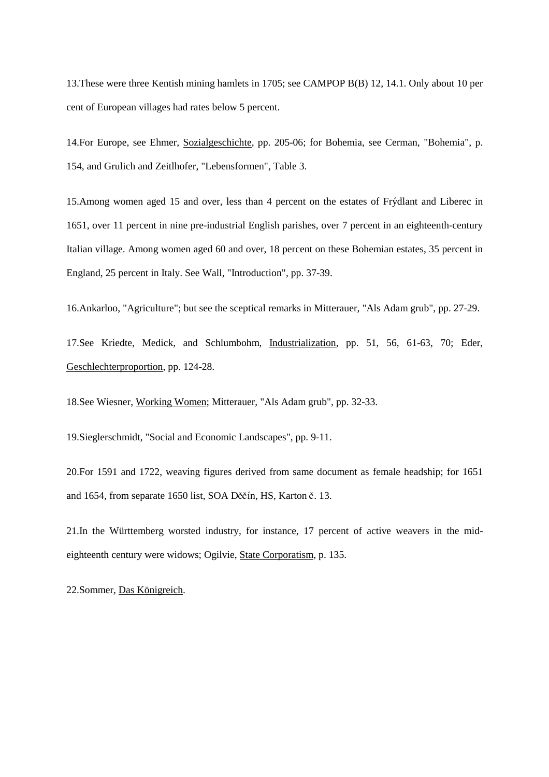13.These were three Kentish mining hamlets in 1705; see CAMPOP B(B) 12, 14.1. Only about 10 per cent of European villages had rates below 5 percent.

14.For Europe, see Ehmer, Sozialgeschichte, pp. 205-06; for Bohemia, see Cerman, "Bohemia", p. 154, and Grulich and Zeitlhofer, "Lebensformen", Table 3.

15.Among women aged 15 and over, less than 4 percent on the estates of Frýdlant and Liberec in 1651, over 11 percent in nine pre-industrial English parishes, over 7 percent in an eighteenth-century Italian village. Among women aged 60 and over, 18 percent on these Bohemian estates, 35 percent in England, 25 percent in Italy. See Wall, "Introduction", pp. 37-39.

16.Ankarloo, "Agriculture"; but see the sceptical remarks in Mitterauer, "Als Adam grub", pp. 27-29.

17.See Kriedte, Medick, and Schlumbohm, Industrialization, pp. 51, 56, 61-63, 70; Eder, Geschlechterproportion, pp. 124-28.

18.See Wiesner, Working Women; Mitterauer, "Als Adam grub", pp. 32-33.

19.Sieglerschmidt, "Social and Economic Landscapes", pp. 9-11.

20.For 1591 and 1722, weaving figures derived from same document as female headship; for 1651 and 1654, from separate 1650 list, SOA Děčín, HS, Karton č. 13.

21.In the Württemberg worsted industry, for instance, 17 percent of active weavers in the mideighteenth century were widows; Ogilvie, State Corporatism, p. 135.

22.Sommer, Das Königreich.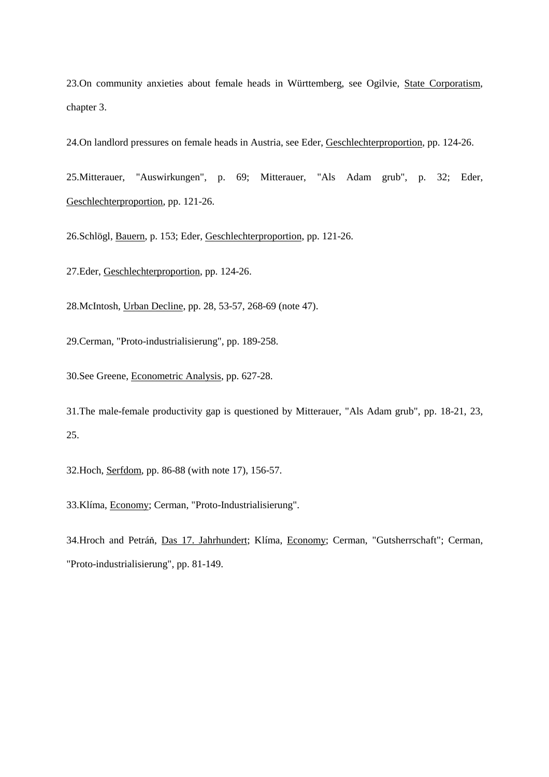23.On community anxieties about female heads in Württemberg, see Ogilvie, State Corporatism, chapter 3.

24.On landlord pressures on female heads in Austria, see Eder, Geschlechterproportion, pp. 124-26.

25.Mitterauer, "Auswirkungen", p. 69; Mitterauer, "Als Adam grub", p. 32; Eder, Geschlechterproportion, pp. 121-26.

26.Schlögl, Bauern, p. 153; Eder, Geschlechterproportion, pp. 121-26.

27.Eder, Geschlechterproportion, pp. 124-26.

28.McIntosh, Urban Decline, pp. 28, 53-57, 268-69 (note 47).

29.Cerman, "Proto-industrialisierung", pp. 189-258.

30.See Greene, Econometric Analysis, pp. 627-28.

31.The male-female productivity gap is questioned by Mitterauer, "Als Adam grub", pp. 18-21, 23, 25.

32.Hoch, Serfdom, pp. 86-88 (with note 17), 156-57.

33.Klíma, Economy; Cerman, "Proto-Industrialisierung".

34.Hroch and Petráň, Das 17. Jahrhundert; Klíma, Economy; Cerman, "Gutsherrschaft"; Cerman, "Proto-industrialisierung", pp. 81-149.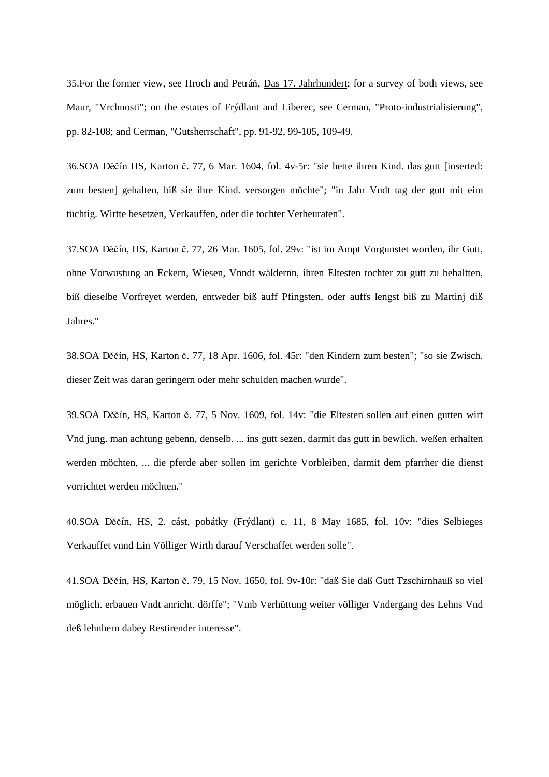35. For the former view, see Hroch and Petráň, Das 17. Jahrhundert; for a survey of both views, see Maur, "Vrchnosti"; on the estates of Frýdlant and Liberec, see Cerman, "Proto-industrialisierung", pp. 82-108; and Cerman, "Gutsherrschaft", pp. 91-92, 99-105, 109-49.

36.SOA Děčín HS, Karton č. 77, 6 Mar. 1604, fol. 4v-5r: "sie hette ihren Kind. das gutt [inserted: zum besten] gehalten, biß sie ihre Kind. versorgen möchte"; "in Jahr Vndt tag der gutt mit eim tüchtig. Wirtte besetzen, Verkauffen, oder die tochter Verheuraten".

37.SOA Děčín, HS, Karton č. 77, 26 Mar. 1605, fol. 29v: "ist im Ampt Vorgunstet worden, ihr Gutt, ohne Vorwustung an Eckern, Wiesen, Vnndt wäldernn, ihren Eltesten tochter zu gutt zu behaltten, biß dieselbe Vorfreyet werden, entweder biß auff Pfingsten, oder auffs lengst biß zu Martinj diß Jahres."

38.SOA Děčín, HS, Karton č. 77, 18 Apr. 1606, fol. 45r: "den Kindern zum besten"; "so sie Zwisch. dieser Zeit was daran geringern oder mehr schulden machen wurde".

39.SOA Děčín, HS, Karton č. 77, 5 Nov. 1609, fol. 14v: "die Eltesten sollen auf einen gutten wirt Vnd jung. man achtung gebenn, denselb. ... ins gutt sezen, darmit das gutt in bewlich. weßen erhalten werden möchten, ... die pferde aber sollen im gerichte Vorbleiben, darmit dem pfarrher die dienst vorrichtet werden möchten."

40.SOA Děčín, HS, 2. cást, pobátky (Frýdlant) c. 11, 8 May 1685, fol. 10v: "dies Selbieges Verkauffet vnnd Ein Völliger Wirth darauf Verschaffet werden solle".

41. SOA Děčín, HS, Karton č. 79, 15 Nov. 1650, fol. 9v-10r: "daß Sie daß Gutt Tzschirnhauß so viel möglich. erbauen Vndt anricht. dörffe"; "Vmb Verhüttung weiter völliger Vndergang des Lehns Vnd deß lehnhern dabey Restirender interesse".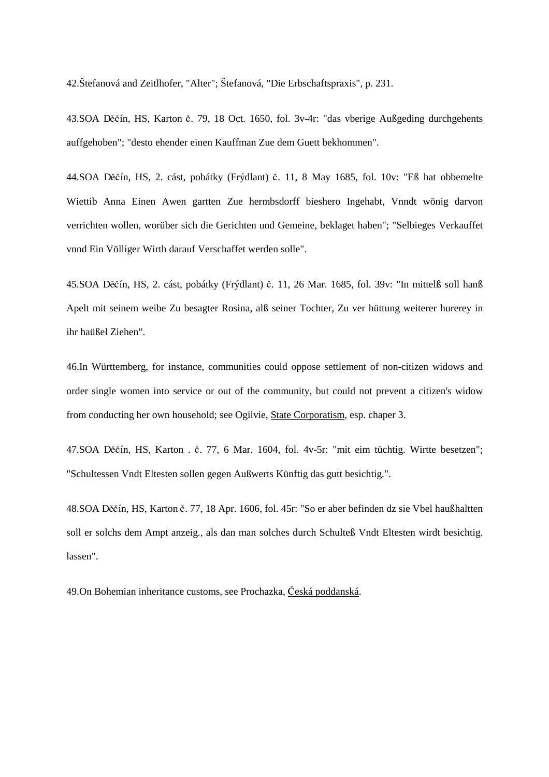42.Štefanová and Zeitlhofer, "Alter"; Štefanová, "Die Erbschaftspraxis", p. 231.

43.SOA Děčín, HS, Karton č. 79, 18 Oct. 1650, fol. 3v-4r: "das vberige Außgeding durchgehents auffgehoben"; "desto ehender einen Kauffman Zue dem Guett bekhommen".

44.SOA Děčín, HS, 2. cást, pobátky (Frýdlant) č. 11, 8 May 1685, fol. 10v: "Eß hat obbemelte Wiettib Anna Einen Awen gartten Zue hermbsdorff bieshero Ingehabt, Vnndt wönig darvon verrichten wollen, worüber sich die Gerichten und Gemeine, beklaget haben"; "Selbieges Verkauffet vnnd Ein Völliger Wirth darauf Verschaffet werden solle".

45.SOA Děčín, HS, 2. cást, pobátky (Frýdlant) č. 11, 26 Mar. 1685, fol. 39v: "In mittelß soll hanß Apelt mit seinem weibe Zu besagter Rosina, alß seiner Tochter, Zu ver hüttung weiterer hurerey in ihr haüßel Ziehen".

46.In Württemberg, for instance, communities could oppose settlement of non-citizen widows and order single women into service or out of the community, but could not prevent a citizen's widow from conducting her own household; see Ogilvie, State Corporatism, esp. chaper 3.

47.SOA Děčín, HS, Karton . č. 77, 6 Mar. 1604, fol. 4v-5r: "mit eim tüchtig. Wirtte besetzen"; "Schultessen Vndt Eltesten sollen gegen Außwerts Künftig das gutt besichtig.".

48.SOA Děčín, HS, Karton č. 77, 18 Apr. 1606, fol. 45r: "So er aber befinden dz sie Vbel haußhaltten soll er solchs dem Ampt anzeig., als dan man solches durch Schulteß Vndt Eltesten wirdt besichtig. lassen".

49. On Bohemian inheritance customs, see Prochazka, Česká poddanská.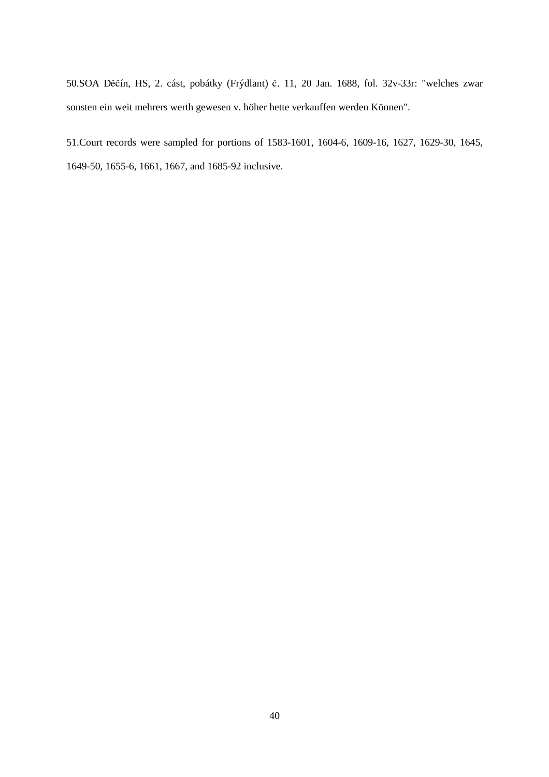50.SOA Děčín, HS, 2. cást, pobátky (Frýdlant) č. 11, 20 Jan. 1688, fol. 32v-33r: "welches zwar sonsten ein weit mehrers werth gewesen v. höher hette verkauffen werden Können".

51.Court records were sampled for portions of 1583-1601, 1604-6, 1609-16, 1627, 1629-30, 1645, 1649-50, 1655-6, 1661, 1667, and 1685-92 inclusive.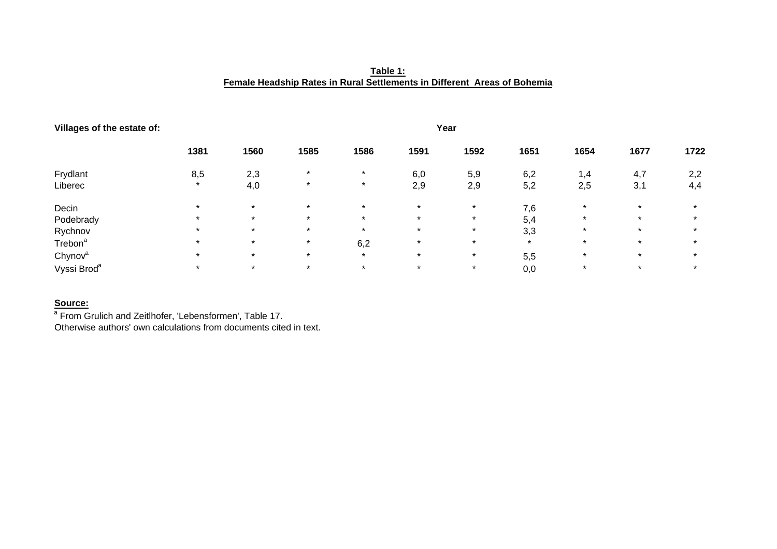**Table 1: Female Headship Rates in Rural Settlements in Different Areas of Bohemia**

| Villages of the estate of: | Year    |         |         |         |         |         |         |         |         |         |  |
|----------------------------|---------|---------|---------|---------|---------|---------|---------|---------|---------|---------|--|
|                            | 1381    | 1560    | 1585    | 1586    | 1591    | 1592    | 1651    | 1654    | 1677    | 1722    |  |
| Frydlant                   | 8,5     | 2,3     | $\star$ | $\star$ | 6,0     | 5,9     | 6,2     | 1,4     | 4,7     | 2,2     |  |
| Liberec                    | $\star$ | 4,0     | $\star$ | $\star$ | 2,9     | 2,9     | 5,2     | 2,5     | 3,1     | 4,4     |  |
| Decin                      | $\star$ | $\star$ | $\star$ | $\star$ | $\star$ | $\star$ | 7,6     | $\star$ | $\star$ | $\star$ |  |
| Podebrady                  | $\star$ | $\star$ | $\star$ | $\star$ | $\star$ | $\star$ | 5,4     |         |         | $\star$ |  |
| Rychnov                    | $\star$ | $\star$ | $\star$ | $\star$ | $\star$ | $\star$ | 3,3     | $\star$ | $\star$ | $\star$ |  |
| Trebon <sup>a</sup>        | $\star$ | $\star$ | $\star$ | 6,2     | $\star$ | $\star$ | $\star$ | $\star$ | $\star$ | $\star$ |  |
| Chynov <sup>a</sup>        | $\star$ | $\star$ | $\star$ | $\star$ | $\star$ | $\star$ | 5,5     | $\star$ | $\star$ | $\star$ |  |
| Vyssi Brod <sup>a</sup>    | $\star$ | $\star$ | $\star$ | $\star$ | $\star$ | $\star$ | 0,0     | $\star$ | $\star$ | $\star$ |  |

#### **Source:**

a From Grulich and Zeitlhofer, 'Lebensformen', Table 17.

Otherwise authors' own calculations from documents cited in text.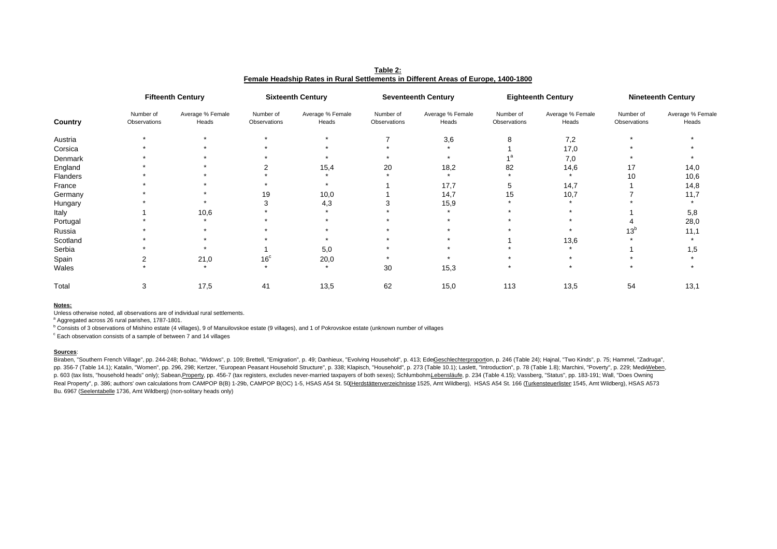|          | <b>Fifteenth Century</b>  |                           | <b>Sixteenth Century</b>  |                           | <b>Seventeenth Century</b> |                           | <b>Eighteenth Century</b> |                           | <b>Nineteenth Century</b> |                           |
|----------|---------------------------|---------------------------|---------------------------|---------------------------|----------------------------|---------------------------|---------------------------|---------------------------|---------------------------|---------------------------|
| Country  | Number of<br>Observations | Average % Female<br>Heads | Number of<br>Observations | Average % Female<br>Heads | Number of<br>Observations  | Average % Female<br>Heads | Number of<br>Observations | Average % Female<br>Heads | Number of<br>Observations | Average % Female<br>Heads |
| Austria  |                           |                           |                           |                           |                            | 3,6                       |                           | 7,2                       |                           |                           |
| Corsica  |                           |                           |                           |                           |                            |                           |                           | 17,0                      |                           |                           |
| Denmark  |                           |                           |                           |                           |                            |                           |                           | 7,0                       |                           |                           |
| England  |                           |                           |                           | 15,4                      | 20                         | 18,2                      | 82                        | 14,6                      | 17                        | 14,0                      |
| Flanders |                           |                           |                           |                           |                            | $\star$                   |                           | $\star$                   | 10                        | 10,6                      |
| France   |                           |                           |                           |                           |                            | 17,7                      | 5                         | 14,7                      |                           | 14,8                      |
| Germany  |                           |                           | 19                        | 10,0                      |                            | 14,7                      | 15                        | 10,7                      |                           | 11,7                      |
| Hungary  |                           |                           |                           | 4,3                       |                            | 15,9                      |                           |                           |                           |                           |
| Italy    |                           | 10,6                      |                           |                           |                            |                           |                           |                           |                           | 5,8                       |
| Portugal |                           |                           |                           |                           |                            |                           |                           |                           |                           | 28,0                      |
| Russia   |                           |                           |                           |                           |                            |                           |                           |                           | 13 <sup>b</sup>           | 11,1                      |
| Scotland |                           |                           |                           |                           |                            |                           |                           | 13,6                      |                           |                           |
| Serbia   |                           |                           |                           | 5,0                       |                            |                           |                           |                           |                           | 1,5                       |
| Spain    |                           | 21,0                      | 16 <sup>c</sup>           | 20,0                      |                            |                           |                           |                           |                           |                           |
| Wales    |                           |                           |                           |                           | 30                         | 15,3                      |                           |                           |                           |                           |
| Total    | 3                         | 17,5                      | 41                        | 13,5                      | 62                         | 15,0                      | 113                       | 13,5                      | 54                        | 13,1                      |

**Table 2: Female Headship Rates in Rural Settlements in Different Areas of Europe, 1400-1800**

#### **Notes:**

Unless otherwise noted, all observations are of individual rural settlements.

<sup>a</sup> Aggregated across 26 rural parishes, 1787-1801.

<sup>b</sup> Consists of 3 observations of Mishino estate (4 villages), 9 of Manuilovskoe estate (9 villages), and 1 of Pokrovskoe estate (unknown number of villages

 $\degree$  Each observation consists of a sample of between 7 and 14 villages

#### **Sources**:

Biraben, "Southern French Village", pp. 244-248; Bohac, "Widows", p. 109; Brettell, "Emigration", p. 49; Danhieux, "Evolving Household", p. 413; EdeGeschlechterproportion, p. 246 (Table 24); Hajnal, "Two Kinds", p. 75; Ham pp. 356-7 (Table 14.1); Katalin, "Women", pp. 296, 298; Kertzer, "European Peasant Household Structure", p. 338; Klapisch, "Household", p. 273 (Table 10.1); Laslett, "Introduction", p. 78 (Table 1.8); Marchini, "Poverty", p. 603 (tax lists, "household heads" only); Sabean,Property, pp. 456-7 (tax registers, excludes never-married taxpayers of both sexes); SchlumbohmLebensläufe, p. 234 (Table 4.15); Vassberg, "Status", pp. 183-191; Wall, "Do Real Property", p. 386; authors' own calculations from CAMPOP B(B) 1-29b, CAMPOP B(OC) 1-5, HSAS A54 St. 50(Herdstättenverzeichnisse 1525, Amt Wildberg), HSAS A54 St. 166 (Turkensteuerlisten 1545, Amt Wildberg), HSAS A573 Bu. 6967 (Seelentabelle 1736, Amt Wildberg) (non-solitary heads only)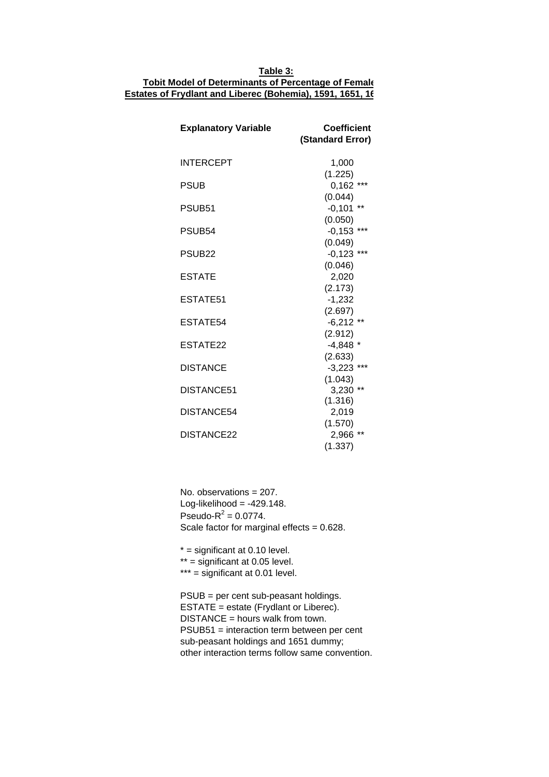## **Table 3: Tobit Model of Determinants of Percentage of Female Estates of Frydlant and Liberec (Bohemia), 1591, 1651, 16**

| <b>Explanatory Variable</b> | <b>Coefficient</b><br>(Standard Error) |
|-----------------------------|----------------------------------------|
| <b>INTERCEPT</b>            | 1,000                                  |
|                             | (1.225)                                |
| PSUB                        | $0,162$ ***                            |
|                             | (0.044)                                |
| PSUB <sub>51</sub>          | $-0,101$ **                            |
|                             | (0.050)                                |
| PSUB54                      | $-0,153$ ***                           |
|                             | (0.049)                                |
| PSUB <sub>22</sub>          | $-0,123$ ***                           |
|                             | (0.046)                                |
| <b>ESTATE</b>               | 2,020                                  |
|                             | (2.173)                                |
| ESTATE51                    | $-1,232$                               |
|                             | (2.697)                                |
| ESTATE54                    | $-6,212$ **                            |
|                             | (2.912)                                |
| ESTATE22                    | $-4,848$ *                             |
|                             | (2.633)                                |
| <b>DISTANCE</b>             | $-3,223$ ***                           |
|                             | (1.043)                                |
| DISTANCE51                  | $3,230$ **                             |
|                             | (1.316)                                |
| DISTANCE54                  | 2,019                                  |
|                             |                                        |
|                             | (1.570)                                |
| DISTANCE22                  | 2,966 **                               |
|                             | (1.337)                                |

No. observations = 207. Log-likelihood =  $-429.148$ . Pseudo- $R^2 = 0.0774$ . Scale factor for marginal effects = 0.628.

 $*$  = significant at 0.10 level.  $**$  = significant at 0.05 level.  $***$  = significant at 0.01 level.

PSUB = per cent sub-peasant holdings. ESTATE = estate (Frydlant or Liberec).  $DISTANCE = hours$  walk from town. PSUB51 = interaction term between per cent sub-peasant holdings and 1651 dummy; other interaction terms follow same convention.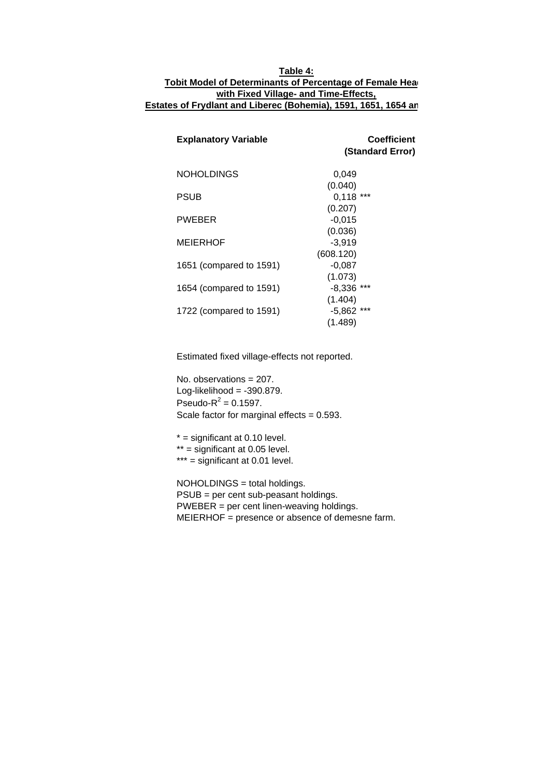### **Table 4: Tobit Model of Determinants of Percentage of Female Head with Fixed Village- and Time-Effects, Estates of Frydlant and Liberec (Bohemia), 1591, 1651, 1654 an**

| <b>Explanatory Variable</b> | <b>Coefficient</b><br>(Standard Error) |
|-----------------------------|----------------------------------------|
| <b>NOHOLDINGS</b>           | 0,049                                  |
|                             | (0.040)                                |
| <b>PSUB</b>                 | $0,118$ ***                            |
|                             | (0.207)                                |
| <b>PWEBER</b>               | $-0.015$                               |
|                             | (0.036)                                |
| <b>MEIERHOF</b>             | $-3,919$                               |
|                             | (608.120)                              |
| 1651 (compared to 1591)     | $-0,087$                               |
|                             | (1.073)                                |
| 1654 (compared to 1591)     | $-8,336$ ***                           |
|                             | (1.404)                                |
| 1722 (compared to 1591)     | $-5,862$ ***                           |
|                             | (1.489)                                |

Estimated fixed village-effects not reported.

No. observations = 207. Log-likelihood =  $-390.879$ . Pseudo- $R^2 = 0.1597$ . Scale factor for marginal effects  $= 0.593$ .

 $*$  = significant at 0.10 level.  $**$  = significant at 0.05 level.  $***$  = significant at 0.01 level.

NOHOLDINGS = total holdings. PSUB = per cent sub-peasant holdings. PWEBER = per cent linen-weaving holdings. MEIERHOF = presence or absence of demesne farm.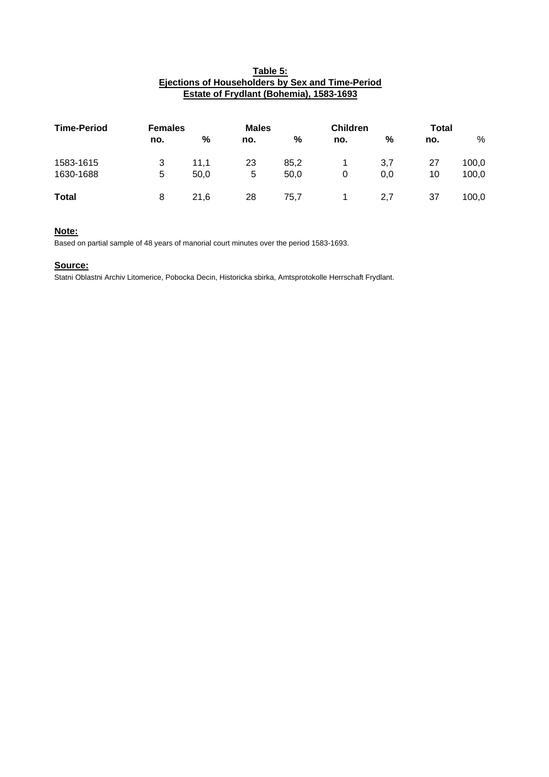#### **Table 5: Ejections of Householders by Sex and Time-Period Estate of Frydlant (Bohemia), 1583-1693**

| <b>Time-Period</b> |     | <b>Females</b> |     | <b>Males</b>  |     | <b>Children</b> | <b>Total</b> |       |
|--------------------|-----|----------------|-----|---------------|-----|-----------------|--------------|-------|
|                    | no. | %              | no. | $\frac{9}{6}$ | no. | %               | no.          | %     |
| 1583-1615          | 3   | 11.1           | 23  | 85,2          |     | 3,7             | 27           | 100,0 |
| 1630-1688          | 5   | 50,0           | 5   | 50,0          | 0   | 0,0             | 10           | 100,0 |
| <b>Total</b>       | 8   | 21.6           | 28  | 75.7          |     | 2,7             | 37           | 100,0 |

### **Note:**

Based on partial sample of 48 years of manorial court minutes over the period 1583-1693.

#### **Source:**

Statni Oblastni Archiv Litomerice, Pobocka Decin, Historicka sbirka, Amtsprotokolle Herrschaft Frydlant.